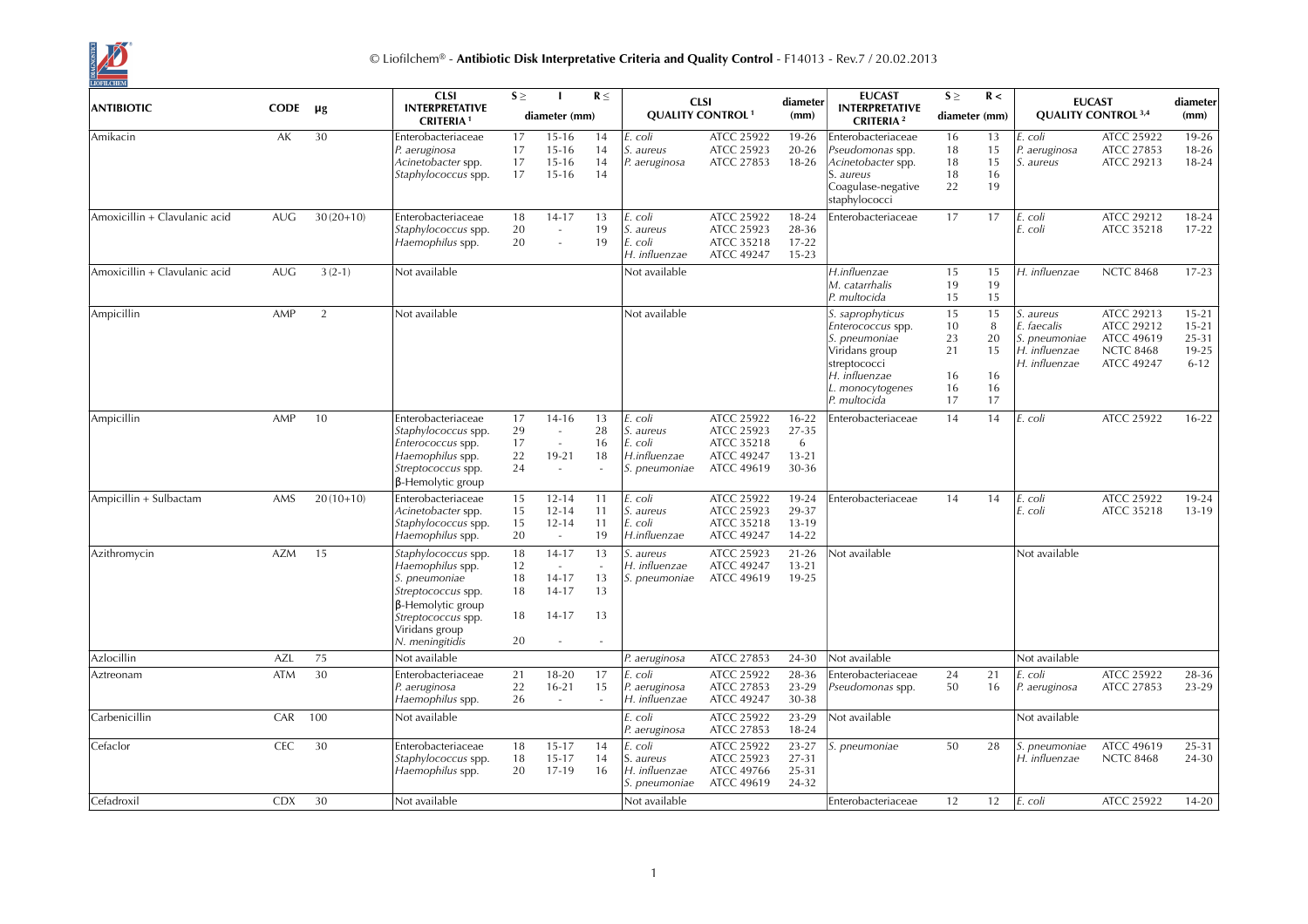

|                               |            |             | <b>CLSI</b>                                                                                                                                                           | $S \geq$                         |                                                                    | $R \leq$                       |                                                                  | <b>CLSI</b>                                                                      | diameter                                      | <b>EUCAST</b>                                                                                                                                 | $S \geq$                               | R <                                   |                                                                             | <b>EUCAST</b>                                                                   | diameter                                                 |
|-------------------------------|------------|-------------|-----------------------------------------------------------------------------------------------------------------------------------------------------------------------|----------------------------------|--------------------------------------------------------------------|--------------------------------|------------------------------------------------------------------|----------------------------------------------------------------------------------|-----------------------------------------------|-----------------------------------------------------------------------------------------------------------------------------------------------|----------------------------------------|---------------------------------------|-----------------------------------------------------------------------------|---------------------------------------------------------------------------------|----------------------------------------------------------|
| <b>ANTIBIOTIC</b>             | CODE       | μg          | <b>INTERPRETATIVE</b><br><b>CRITERIA1</b>                                                                                                                             |                                  | diameter (mm)                                                      |                                |                                                                  | <b>QUALITY CONTROL<sup>1</sup></b>                                               | (mm)                                          | <b>INTERPRETATIVE</b><br><b>CRITERIA</b> <sup>2</sup>                                                                                         |                                        | diameter (mm)                         |                                                                             | <b>QUALITY CONTROL 3,4</b>                                                      | (mm)                                                     |
| Amikacin                      | AK         | 30          | Enterobacteriaceae<br>P. aeruginosa<br>Acinetobacter spp.<br>Staphylococcus spp.                                                                                      | 17<br>17<br>17<br>17             | $15 - 16$<br>$15 - 16$<br>$15 - 16$<br>$15 - 16$                   | 14<br>14<br>14<br>14           | E. coli<br>S. aureus<br>P. aeruginosa                            | ATCC 25922<br>ATCC 25923<br>ATCC 27853                                           | 19-26<br>$20 - 26$<br>18-26                   | Enterobacteriaceae<br>Pseudomonas spp.<br>Acinetobacter spp.<br>S. aureus<br>Coagulase-negative<br>staphylococci                              | 16<br>18<br>18<br>18<br>22             | 13<br>15<br>15<br>16<br>19            | E. coli<br>P. aeruginosa<br><i>S. aureus</i>                                | ATCC 25922<br>ATCC 27853<br>ATCC 29213                                          | $19 - 26$<br>$18 - 26$<br>$18 - 24$                      |
| Amoxicillin + Clavulanic acid | <b>AUG</b> | $30(20+10)$ | Enterobacteriaceae<br><i>Staphylococcus spp.</i><br>Haemophilus spp.                                                                                                  | 18<br>20<br>20                   | $14 - 17$<br>$\sim$<br>÷,                                          | 13<br>19<br>19                 | coli<br>S. aureus<br>E. coli<br>H. influenzae                    | <b>ATCC 25922</b><br>ATCC 25923<br>ATCC 35218<br>ATCC 49247                      | 18-24<br>28-36<br>$17 - 22$<br>$15 - 23$      | Enterobacteriaceae                                                                                                                            | 17                                     | 17                                    | E. coli<br>E. coli                                                          | ATCC 29212<br>ATCC 35218                                                        | 18-24<br>$17 - 22$                                       |
| Amoxicillin + Clavulanic acid | <b>AUG</b> | $3(2-1)$    | Not available                                                                                                                                                         |                                  |                                                                    |                                | Not available                                                    |                                                                                  |                                               | H.influenzae<br>M. catarrhalis<br>P. multocida                                                                                                | 15<br>19<br>15                         | 15<br>19<br>15                        | H. influenzae                                                               | <b>NCTC 8468</b>                                                                | $17 - 23$                                                |
| Ampicillin                    | AMP        | 2           | Not available                                                                                                                                                         |                                  |                                                                    |                                | Not available                                                    |                                                                                  |                                               | S. saprophyticus<br>Enterococcus spp.<br>S. pneumoniae<br>Viridans group<br>streptococci<br>H. influenzae<br>L. monocytogenes<br>P. multocida | 15<br>10<br>23<br>21<br>16<br>16<br>17 | 15<br>8<br>20<br>15<br>16<br>16<br>17 | S. aureus<br>E. faecalis<br>S. pneumoniae<br>H. influenzae<br>H. influenzae | ATCC 29213<br>ATCC 29212<br><b>ATCC 49619</b><br><b>NCTC 8468</b><br>ATCC 49247 | $15 - 21$<br>$15 - 21$<br>25-31<br>$19 - 25$<br>$6 - 12$ |
| Ampicillin                    | AMP        | 10          | Enterobacteriaceae<br>Staphylococcus spp.<br>Enterococcus spp.<br>Haemophilus spp.<br>Streptococcus spp.<br><b>B-Hemolytic group</b>                                  | 17<br>29<br>17<br>22<br>24       | $14 - 16$<br>$\sim$<br>$\sim$<br>19-21<br>$\overline{\phantom{a}}$ | 13<br>28<br>16<br>18           | E. coli<br>S. aureus<br>E. coli<br>H.influenzae<br>S. pneumoniae | ATCC 25922<br>ATCC 25923<br>ATCC 35218<br><b>ATCC 49247</b><br><b>ATCC 49619</b> | $16 - 22$<br>27-35<br>6<br>$13 - 21$<br>30-36 | Enterobacteriaceae                                                                                                                            | 14                                     | 14                                    | E. coli                                                                     | ATCC 25922                                                                      | $16-22$                                                  |
| Ampicillin + Sulbactam        | AMS        | $20(10+10)$ | Enterobacteriaceae<br>Acinetobacter spp.<br>Staphylococcus spp.<br>Haemophilus spp.                                                                                   | 15<br>15<br>15<br>20             | $12 - 14$<br>$12 - 14$<br>$12 - 14$<br>$\omega$                    | 11<br>11<br>11<br>19           | E. coli<br>S. aureus<br>E. coli<br>H.influenzae                  | ATCC 25922<br>ATCC 25923<br>ATCC 35218<br><b>ATCC 49247</b>                      | 19-24<br>29-37<br>$13-19$<br>14-22            | Enterobacteriaceae                                                                                                                            | 14                                     | 14                                    | E. coli<br>E. coli                                                          | ATCC 25922<br>ATCC 35218                                                        | 19-24<br>$13-19$                                         |
| Azithromycin                  | <b>AZM</b> | 15          | Staphylococcus spp.<br>Haemophilus spp.<br><i>S. pneumoniae</i><br>Streptococcus spp.<br>β-Hemolytic group<br>Streptococcus spp.<br>Viridans group<br>N. meningitidis | 18<br>12<br>18<br>18<br>18<br>20 | $14 - 17$<br>$14 - 17$<br>$14 - 17$<br>$14 - 17$<br>$\sim$         | 13<br>13<br>13<br>13<br>$\sim$ | S. aureus<br>H. influenzae<br>S. pneumoniae                      | ATCC 25923<br><b>ATCC 49247</b><br><b>ATCC 49619</b>                             | $21 - 26$<br>$13 - 21$<br>19-25               | Not available                                                                                                                                 |                                        |                                       | Not available                                                               |                                                                                 |                                                          |
| Azlocillin                    | <b>AZL</b> | 75          | Not available                                                                                                                                                         |                                  |                                                                    |                                | P. aeruginosa                                                    | ATCC 27853                                                                       | 24-30                                         | Not available                                                                                                                                 |                                        |                                       | Not available                                                               |                                                                                 |                                                          |
| Aztreonam                     | <b>ATM</b> | 30          | Enterobacteriaceae<br>P. aeruginosa<br>Haemophilus spp.                                                                                                               | 21<br>22<br>26                   | 18-20<br>$16 - 21$<br>$\sim$                                       | 17<br>15<br>$\sim$             | . coli<br>P. aeruginosa<br>H. influenzae                         | ATCC 25922<br>ATCC 27853<br><b>ATCC 49247</b>                                    | 28-36<br>23-29<br>30-38                       | Enterobacteriaceae<br>Pseudomonas spp.                                                                                                        | 24<br>50                               | 21<br>16                              | E. coli<br>P. aeruginosa                                                    | <b>ATCC 25922</b><br>ATCC 27853                                                 | 28-36<br>23-29                                           |
| Carbenicillin                 | CAR        | 100         | Not available                                                                                                                                                         |                                  |                                                                    |                                | E. coli<br>P. aeruginosa                                         | <b>ATCC 25922</b><br><b>ATCC 27853</b>                                           | 23-29<br>18-24                                | Not available                                                                                                                                 |                                        |                                       | Not available                                                               |                                                                                 |                                                          |
| Cefaclor                      | <b>CEC</b> | 30          | Enterobacteriaceae<br>Staphylococcus spp.<br>Haemophilus spp.                                                                                                         | 18<br>18<br>20                   | $15 - 17$<br>15-17<br>17-19                                        | 14<br>14<br>16                 | E. coli<br>S. aureus<br>H. influenzae<br>S. pneumoniae           | ATCC 25922<br>ATCC 25923<br><b>ATCC 49766</b><br>ATCC 49619                      | 23-27<br>27-31<br>25-31<br>24-32              | S. pneumoniae                                                                                                                                 | 50                                     | 28                                    | S. pneumoniae<br>H. influenzae                                              | <b>ATCC 49619</b><br><b>NCTC 8468</b>                                           | 25-31<br>24-30                                           |
| Cefadroxil                    | <b>CDX</b> | 30          | Not available                                                                                                                                                         |                                  |                                                                    |                                | Not available                                                    |                                                                                  |                                               | Enterobacteriaceae                                                                                                                            | 12                                     | 12                                    | E. coli                                                                     | <b>ATCC 25922</b>                                                               | $14 - 20$                                                |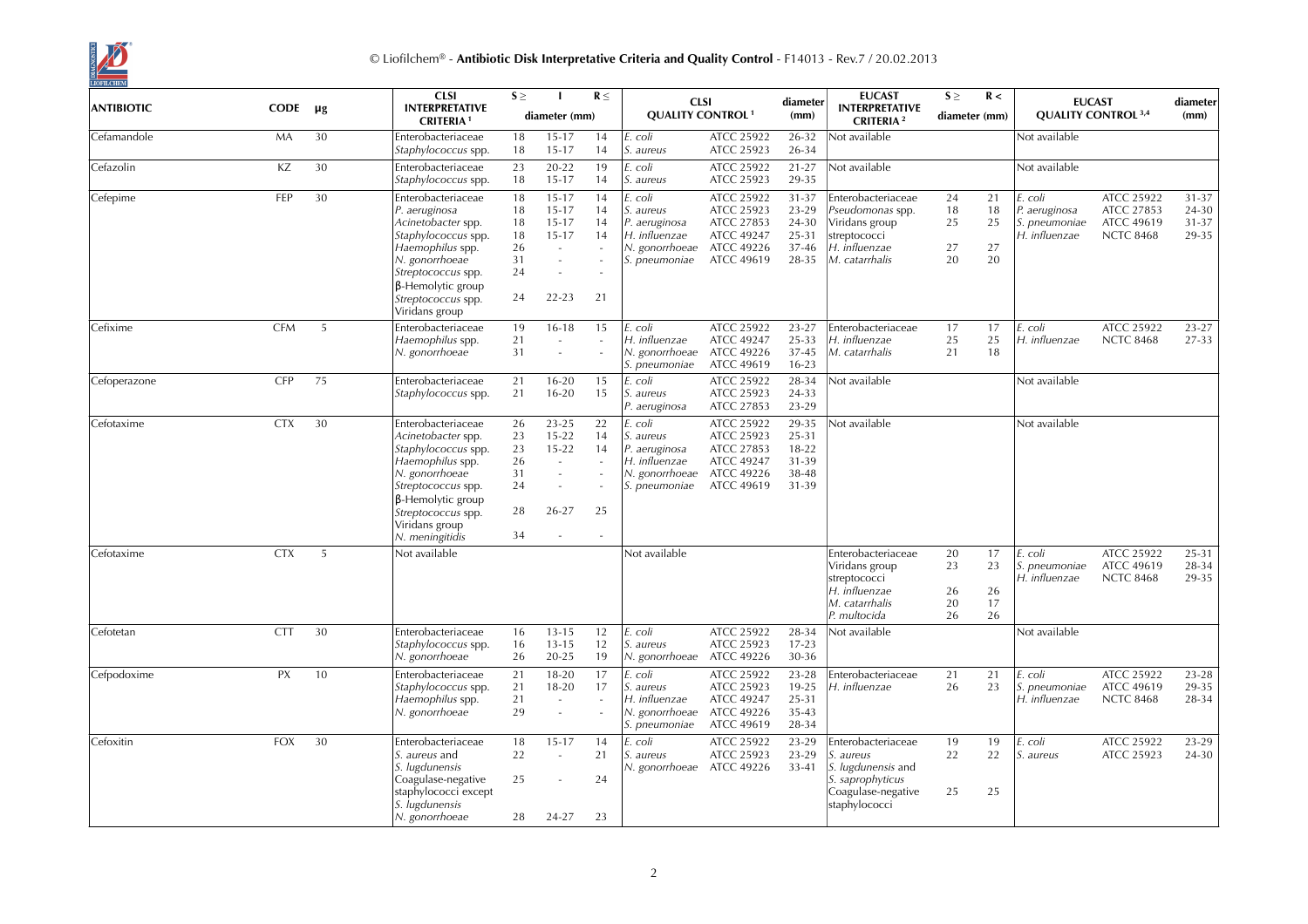

|                   |             |         | <b>CLSI</b>                                                                                                                                                                                                        | $S \geq$                                     |                                                                                                                     | $R \leq$                   | <b>CLSI</b>                                                                               |                                                                                                       | diameter                                           | <b>EUCAST</b>                                                                                                    | $S \geq$                   | R <                        |                                                            | <b>EUCAST</b>                                                     | diameter                         |
|-------------------|-------------|---------|--------------------------------------------------------------------------------------------------------------------------------------------------------------------------------------------------------------------|----------------------------------------------|---------------------------------------------------------------------------------------------------------------------|----------------------------|-------------------------------------------------------------------------------------------|-------------------------------------------------------------------------------------------------------|----------------------------------------------------|------------------------------------------------------------------------------------------------------------------|----------------------------|----------------------------|------------------------------------------------------------|-------------------------------------------------------------------|----------------------------------|
| <b>ANTIBIOTIC</b> | <b>CODE</b> | $\mu$ g | <b>INTERPRETATIVE</b><br><b>CRITERIA1</b>                                                                                                                                                                          |                                              | diameter (mm)                                                                                                       |                            | <b>QUALITY CONTROL<sup>1</sup></b>                                                        |                                                                                                       | (mm)                                               | <b>INTERPRETATIVE</b><br><b>CRITERIA</b> <sup>2</sup>                                                            | diameter (mm)              |                            |                                                            | <b>QUALITY CONTROL 3,4</b>                                        | (mm)                             |
| Cefamandole       | MA          | 30      | Enterobacteriaceae<br>Staphylococcus spp.                                                                                                                                                                          | 18<br>18                                     | $15 - 17$<br>$15 - 17$                                                                                              | 14<br>14                   | E. coli<br>S. aureus                                                                      | ATCC 25922<br>ATCC 25923                                                                              | 26-32<br>26-34                                     | Not available                                                                                                    |                            |                            | Not available                                              |                                                                   |                                  |
| Cefazolin         | ΚZ          | 30      | Enterobacteriaceae<br>Staphylococcus spp.                                                                                                                                                                          | 23<br>18                                     | 20-22<br>$15 - 17$                                                                                                  | 19<br>14                   | E. coli<br>S. aureus                                                                      | ATCC 25922<br>ATCC 25923                                                                              | $21 - 27$<br>29-35                                 | Not available                                                                                                    |                            |                            | Not available                                              |                                                                   |                                  |
| Cefepime          | FEP         | 30      | Enterobacteriaceae<br>P. aeruginosa<br>Acinetobacter spp.<br>Staphylococcus spp.<br>Haemophilus spp.<br>N. gonorrhoeae<br>Streptococcus spp.<br>$\beta$ -Hemolytic group<br>Streptococcus spp.<br>Viridans group   | 18<br>18<br>18<br>18<br>26<br>31<br>24<br>24 | $15 - 17$<br>$15 - 17$<br>$15 - 17$<br>$15 - 17$<br>$\sim$<br>$\sim$<br>÷,<br>$22 - 23$                             | 14<br>14<br>14<br>14<br>21 | E. coli<br>S. aureus<br>P. aeruginosa<br>H. influenzae<br>N. gonorrhoeae<br>S. pneumoniae | ATCC 25922<br>ATCC 25923<br>ATCC 27853<br><b>ATCC 49247</b><br><b>ATCC 49226</b><br><b>ATCC 49619</b> | 31-37<br>23-29<br>24-30<br>25-31<br>37-46<br>28-35 | Enterobacteriaceae<br>Pseudomonas spp.<br>Viridans group<br>streptococci<br>H. influenzae<br>M. catarrhalis      | 24<br>18<br>25<br>27<br>20 | 21<br>18<br>25<br>27<br>20 | E. coli<br>P. aeruginosa<br>S. pneumoniae<br>H. influenzae | ATCC 25922<br>ATCC 27853<br><b>ATCC 49619</b><br><b>NCTC 8468</b> | 31-37<br>24-30<br>31-37<br>29-35 |
| Cefixime          | <b>CFM</b>  | 5       | Enterobacteriaceae<br>Haemophilus spp.<br>N. gonorrhoeae                                                                                                                                                           | 19<br>21<br>31                               | $16 - 18$<br>$\sim$                                                                                                 | 15                         | coli<br>H. influenzae<br>N. gonorrhoeae<br>S. pneumoniae                                  | ATCC 25922<br><b>ATCC 49247</b><br><b>ATCC 49226</b><br><b>ATCC 49619</b>                             | 23-27<br>25-33<br>37-45<br>$16 - 23$               | Enterobacteriaceae<br>H. influenzae<br>M. catarrhalis                                                            | 17<br>25<br>21             | 17<br>25<br>18             | E. coli<br>H. influenzae                                   | ATCC 25922<br><b>NCTC 8468</b>                                    | 23-27<br>27-33                   |
| Cefoperazone      | <b>CFP</b>  | 75      | Enterobacteriaceae<br>Staphylococcus spp.                                                                                                                                                                          | 21<br>21                                     | $16 - 20$<br>$16 - 20$                                                                                              | 15<br>15                   | E. coli<br>S. aureus<br>P. aeruginosa                                                     | ATCC 25922<br>ATCC 25923<br>ATCC 27853                                                                | 28-34<br>24-33<br>23-29                            | Not available                                                                                                    |                            |                            | Not available                                              |                                                                   |                                  |
| Cefotaxime        | <b>CTX</b>  | 30      | Enterobacteriaceae<br>Acinetobacter spp.<br>Staphylococcus spp.<br>Haemophilus spp.<br>N. gonorrhoeae<br>Streptococcus spp.<br>$\beta$ -Hemolytic group<br>Streptococcus spp.<br>Viridans group<br>N. meningitidis | 26<br>23<br>23<br>26<br>31<br>24<br>28<br>34 | $23 - 25$<br>$15 - 22$<br>$15 - 22$<br>$\sim$<br>$\sim$<br>$\overline{\phantom{a}}$<br>26-27<br>$\bar{\phantom{a}}$ | 22<br>14<br>14<br>25       | E. coli<br>S. aureus<br>P. aeruginosa<br>H. influenzae<br>N. gonorrhoeae<br>S. pneumoniae | ATCC 25922<br>ATCC 25923<br>ATCC 27853<br><b>ATCC 49247</b><br><b>ATCC 49226</b><br>ATCC 49619        | 29-35<br>25-31<br>18-22<br>31-39<br>38-48<br>31-39 | Not available                                                                                                    |                            |                            | Not available                                              |                                                                   |                                  |
| Cefotaxime        | <b>CTX</b>  | 5       | Not available                                                                                                                                                                                                      |                                              |                                                                                                                     |                            | Not available                                                                             |                                                                                                       |                                                    | Enterobacteriaceae<br>Viridans group<br>streptococci<br>H. influenzae<br>M. catarrhalis<br>P. multocida          | 20<br>23<br>26<br>20<br>26 | 17<br>23<br>26<br>17<br>26 | E. coli<br>S. pneumoniae<br>H. influenzae                  | ATCC 25922<br><b>ATCC 49619</b><br><b>NCTC 8468</b>               | $25 - 31$<br>28-34<br>29-35      |
| Cefotetan         | <b>CTT</b>  | 30      | Enterobacteriaceae<br>Staphylococcus spp.<br>N. gonorrhoeae                                                                                                                                                        | 16<br>16<br>26                               | $13 - 15$<br>$13 - 15$<br>20-25                                                                                     | 12<br>12<br>19             | E. coli<br>S. aureus<br>N. gonorrhoeae ATCC 49226                                         | ATCC 25922<br>ATCC 25923                                                                              | 28-34<br>$17 - 23$<br>30-36                        | Not available                                                                                                    |                            |                            | Not available                                              |                                                                   |                                  |
| Cefpodoxime       | PX          | 10      | Enterobacteriaceae<br>Staphylococcus spp.<br>Haemophilus spp.<br>N. gonorrhoeae                                                                                                                                    | 21<br>21<br>21<br>29                         | $18 - 20$<br>18-20<br>$\sim$<br>$\sim$                                                                              | 17<br>17                   | coli<br>S. aureus<br>H. influenzae<br>N. gonorrhoeae<br>S. pneumoniae                     | ATCC 25922<br>ATCC 25923<br><b>ATCC 49247</b><br>ATCC 49226<br><b>ATCC 49619</b>                      | 23-28<br>19-25<br>25-31<br>35-43<br>28-34          | Enterobacteriaceae<br>H. influenzae                                                                              | 21<br>26                   | 21<br>23                   | E. coli<br>S. pneumoniae<br>H. influenzae                  | ATCC 25922<br><b>ATCC 49619</b><br><b>NCTC 8468</b>               | $23 - 28$<br>29-35<br>28-34      |
| Cefoxitin         | <b>FOX</b>  | 30      | Enterobacteriaceae<br>S. aureus and<br>S. lugdunensis<br>Coagulase-negative<br>staphylococci except<br>S. lugdunensis<br>N. gonorrhoeae                                                                            | 18<br>22<br>25<br>28                         | $15 - 17$<br>$\sim$<br>÷,<br>24-27                                                                                  | 14<br>21<br>24<br>23       | . coli<br>S. aureus<br>N. gonorrhoeae ATCC 49226                                          | ATCC 25922<br>ATCC 25923                                                                              | 23-29<br>23-29<br>$33 - 41$                        | Enterobacteriaceae<br>S. aureus<br>S. lugdunensis and<br>S. saprophyticus<br>Coagulase-negative<br>staphylococci | 19<br>22<br>25             | 19<br>22<br>25             | E. coli<br>S. aureus                                       | ATCC 25922<br>ATCC 25923                                          | 23-29<br>24-30                   |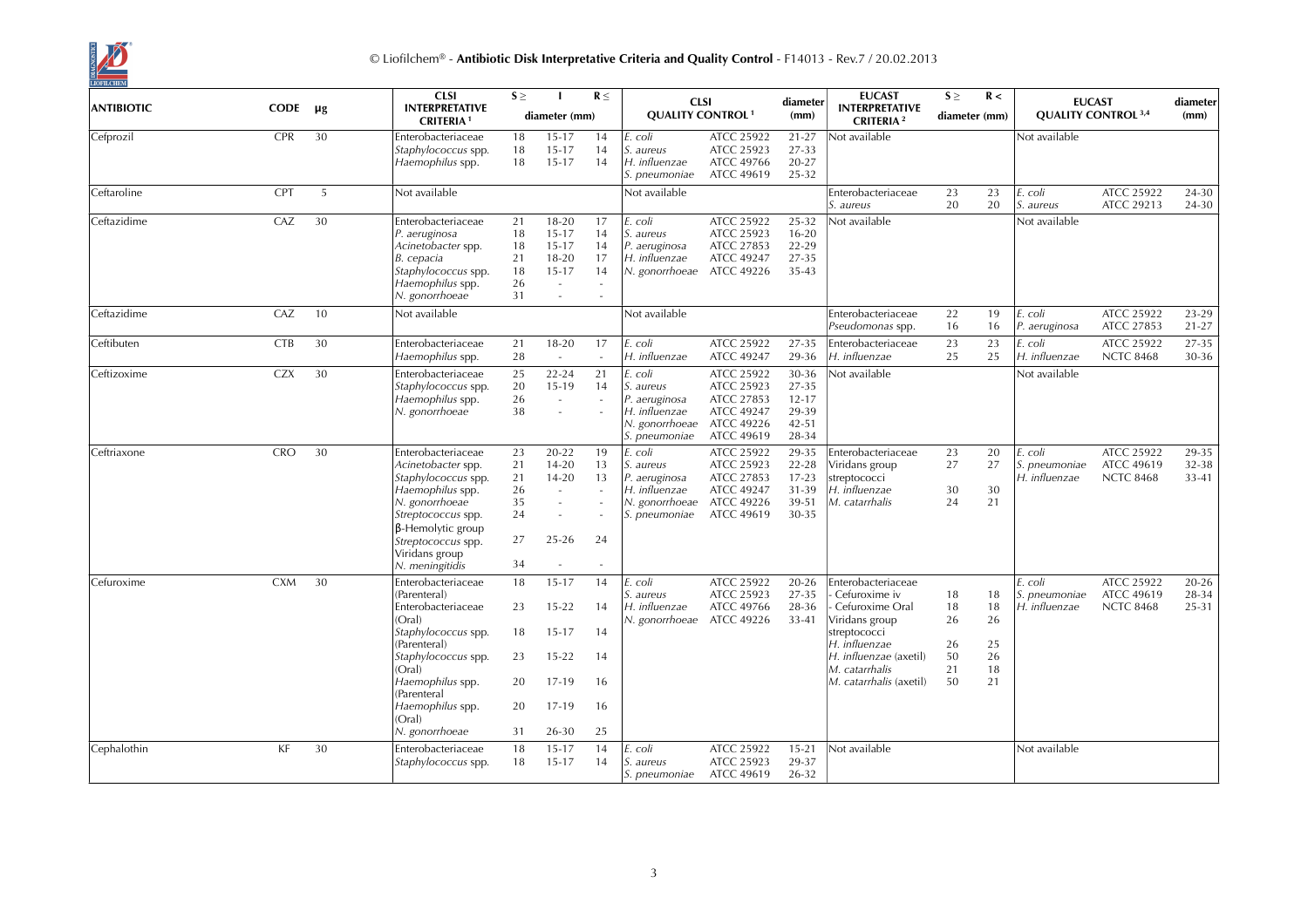

|                   |             |         | <b>CLSI</b><br>$S \geq$<br>$R \leq$<br><b>CLSI</b><br><b>INTERPRETATIVE</b>                                                                                                                                                          |                                              | diameter                                                                                 | <b>EUCAST</b>                                          | $S \geq$                                                                                  | R <                                                                                                          |                                                            | <b>EUCAST</b>                                                                                                                                                                      | diameter                               |                                        |                                           |                                                     |                             |
|-------------------|-------------|---------|--------------------------------------------------------------------------------------------------------------------------------------------------------------------------------------------------------------------------------------|----------------------------------------------|------------------------------------------------------------------------------------------|--------------------------------------------------------|-------------------------------------------------------------------------------------------|--------------------------------------------------------------------------------------------------------------|------------------------------------------------------------|------------------------------------------------------------------------------------------------------------------------------------------------------------------------------------|----------------------------------------|----------------------------------------|-------------------------------------------|-----------------------------------------------------|-----------------------------|
| <b>ANTIBIOTIC</b> | <b>CODE</b> | $\mu$ g | <b>CRITERIA1</b>                                                                                                                                                                                                                     |                                              | diameter (mm)                                                                            |                                                        | <b>QUALITY CONTROL<sup>1</sup></b>                                                        |                                                                                                              | (mm)                                                       | <b>INTERPRETATIVE</b><br><b>CRITERIA</b> <sup>2</sup>                                                                                                                              | diameter (mm)                          |                                        |                                           | <b>QUALITY CONTROL 3,4</b>                          | (mm)                        |
| Cefprozil         | <b>CPR</b>  | 30      | Enterobacteriaceae<br>Staphylococcus spp.<br>Haemophilus spp.                                                                                                                                                                        | 18<br>18<br>18                               | $15 - 17$<br>$15 - 17$<br>15-17                                                          | 14<br>14<br>14                                         | . coli<br>S. aureus<br>H. influenzae<br>S. pneumoniae                                     | ATCC 25922<br>ATCC 25923<br><b>ATCC 49766</b><br><b>ATCC 49619</b>                                           | $21 - 27$<br>27-33<br>20-27<br>25-32                       | Not available                                                                                                                                                                      |                                        |                                        | Not available                             |                                                     |                             |
| Ceftaroline       | <b>CPT</b>  | 5       | Not available                                                                                                                                                                                                                        |                                              |                                                                                          |                                                        | Not available                                                                             |                                                                                                              |                                                            | Enterobacteriaceae<br>S. aureus                                                                                                                                                    | 23<br>20                               | 23<br>20                               | E. coli<br>S. aureus                      | ATCC 25922<br>ATCC 29213                            | 24-30<br>24-30              |
| Ceftazidime       | CAZ         | 30      | Enterobacteriaceae<br>P. aeruginosa<br>Acinetobacter spp.<br>B. cepacia<br>Staphylococcus spp.<br>Haemophilus spp.<br>N. gonorrhoeae                                                                                                 | 21<br>18<br>18<br>21<br>18<br>26<br>31       | $18 - 20$<br>$15 - 17$<br>15-17<br>$18 - 20$<br>15-17<br>$\sim$<br>÷,                    | 17<br>14<br>14<br>17<br>14<br>$\overline{\phantom{a}}$ | . coli<br>S. aureus<br>P. aeruginosa<br>H. influenzae<br>N. gonorrhoeae ATCC 49226        | ATCC 25922<br>ATCC 25923<br>ATCC 27853<br><b>ATCC 49247</b>                                                  | 25-32<br>$16 - 20$<br>22-29<br>27-35<br>35-43              | Not available                                                                                                                                                                      |                                        |                                        | Not available                             |                                                     |                             |
| Ceftazidime       | CAZ         | 10      | Not available                                                                                                                                                                                                                        |                                              |                                                                                          |                                                        | Not available                                                                             |                                                                                                              |                                                            | Enterobacteriaceae<br>Pseudomonas spp.                                                                                                                                             | 22<br>16                               | 19<br>16                               | E. coli<br>P. aeruginosa                  | ATCC 25922<br>ATCC 27853                            | 23-29<br>$21 - 27$          |
| Ceftibuten        | <b>CTB</b>  | 30      | Enterobacteriaceae<br>Haemophilus spp.                                                                                                                                                                                               | 21<br>28                                     | 18-20<br>$\overline{\phantom{a}}$                                                        | 17                                                     | E. coli<br>H. influenzae                                                                  | <b>ATCC 25922</b><br>ATCC 49247                                                                              | 27-35<br>29-36                                             | Enterobacteriaceae<br>H. influenzae                                                                                                                                                | 23<br>25                               | 23<br>25                               | E. coli<br>H. influenzae                  | <b>ATCC 25922</b><br><b>NCTC 8468</b>               | 27-35<br>30-36              |
| Ceftizoxime       | <b>CZX</b>  | 30      | Enterobacteriaceae<br>Staphylococcus spp.<br>Haemophilus spp.<br>N. gonorrhoeae                                                                                                                                                      | 25<br>20<br>26<br>38                         | $22 - 24$<br>15-19<br>$\sim$<br>$\sim$                                                   | 21<br>14<br>÷,                                         | E. coli<br>S. aureus<br>P. aeruginosa<br>H. influenzae<br>N. gonorrhoeae<br>S. pneumoniae | <b>ATCC 25922</b><br>ATCC 25923<br>ATCC 27853<br><b>ATCC 49247</b><br><b>ATCC 49226</b><br><b>ATCC 49619</b> | 30-36<br>27-35<br>$12 - 17$<br>29-39<br>42-51<br>28-34     | Not available                                                                                                                                                                      |                                        |                                        | Not available                             |                                                     |                             |
| Ceftriaxone       | <b>CRO</b>  | 30      | Enterobacteriaceae<br>Acinetobacter spp.<br>Staphylococcus spp.<br>Haemophilus spp.<br>N. gonorrhoeae<br>Streptococcus spp.<br><b>B-Hemolytic group</b><br>Streptococcus spp.<br>Viridans group<br>N. meningitidis                   | 23<br>21<br>21<br>26<br>35<br>24<br>27<br>34 | 20-22<br>$14 - 20$<br>$14 - 20$<br>$\sim$<br>$\sim$<br>$\overline{a}$<br>25-26<br>$\sim$ | 19<br>13<br>13<br>24                                   | E. coli<br>S. aureus<br>P. aeruginosa<br>H. influenzae<br>N. gonorrhoeae<br>S. pneumoniae | ATCC 25922<br>ATCC 25923<br>ATCC 27853<br><b>ATCC 49247</b><br>ATCC 49226<br><b>ATCC 49619</b>               | 29-35<br>$22 - 28$<br>$17 - 23$<br>31-39<br>39-51<br>30-35 | Enterobacteriaceae<br>Viridans group<br>streptococci<br>H. influenzae<br>M. catarrhalis                                                                                            | 23<br>27<br>30<br>24                   | 20<br>27<br>30<br>21                   | E. coli<br>S. pneumoniae<br>H. influenzae | ATCC 25922<br><b>ATCC 49619</b><br><b>NCTC 8468</b> | 29-35<br>$32 - 38$<br>33-41 |
| Cefuroxime        | <b>CXM</b>  | 30      | Enterobacteriaceae<br>(Parenteral)<br>Enterobacteriaceae<br>(Oral)<br><i>Staphylococcus</i> spp.<br>(Parenteral)<br>Staphylococcus spp.<br>(Oral)<br>Haemophilus spp.<br>(Parenteral<br>Haemophilus spp.<br>(Oral)<br>N. gonorrhoeae | 18<br>23<br>18<br>23<br>20<br>20<br>31       | $15 - 17$<br>$15 - 22$<br>15-17<br>$15 - 22$<br>17-19<br>17-19<br>26-30                  | 14<br>14<br>14<br>14<br>16<br>16<br>25                 | E. coli<br>S. aureus<br>H. influenzae<br>N. gonorrhoeae ATCC 49226                        | ATCC 25922<br>ATCC 25923<br>ATCC 49766                                                                       | $20 - 26$<br>27-35<br>28-36<br>33-41                       | Enterobacteriaceae<br>Cefuroxime iv<br>- Cefuroxime Oral<br>Viridans group<br>streptococci<br>H. influenzae<br>H. influenzae (axetil)<br>M. catarrhalis<br>M. catarrhalis (axetil) | 18<br>18<br>26<br>26<br>50<br>21<br>50 | 18<br>18<br>26<br>25<br>26<br>18<br>21 | E. coli<br>S. pneumoniae<br>H. influenzae | ATCC 25922<br><b>ATCC 49619</b><br><b>NCTC 8468</b> | $20 - 26$<br>28-34<br>25-31 |
| Cephalothin       | KF          | 30      | Enterobacteriaceae<br>Staphylococcus spp.                                                                                                                                                                                            | 18<br>18                                     | $15 - 17$<br>15-17                                                                       | 14<br>14                                               | coli<br><i>S. aureus</i><br>S. pneumoniae                                                 | ATCC 25922<br>ATCC 25923<br>ATCC 49619                                                                       | $15 - 21$<br>29-37<br>26-32                                | Not available                                                                                                                                                                      |                                        |                                        | Not available                             |                                                     |                             |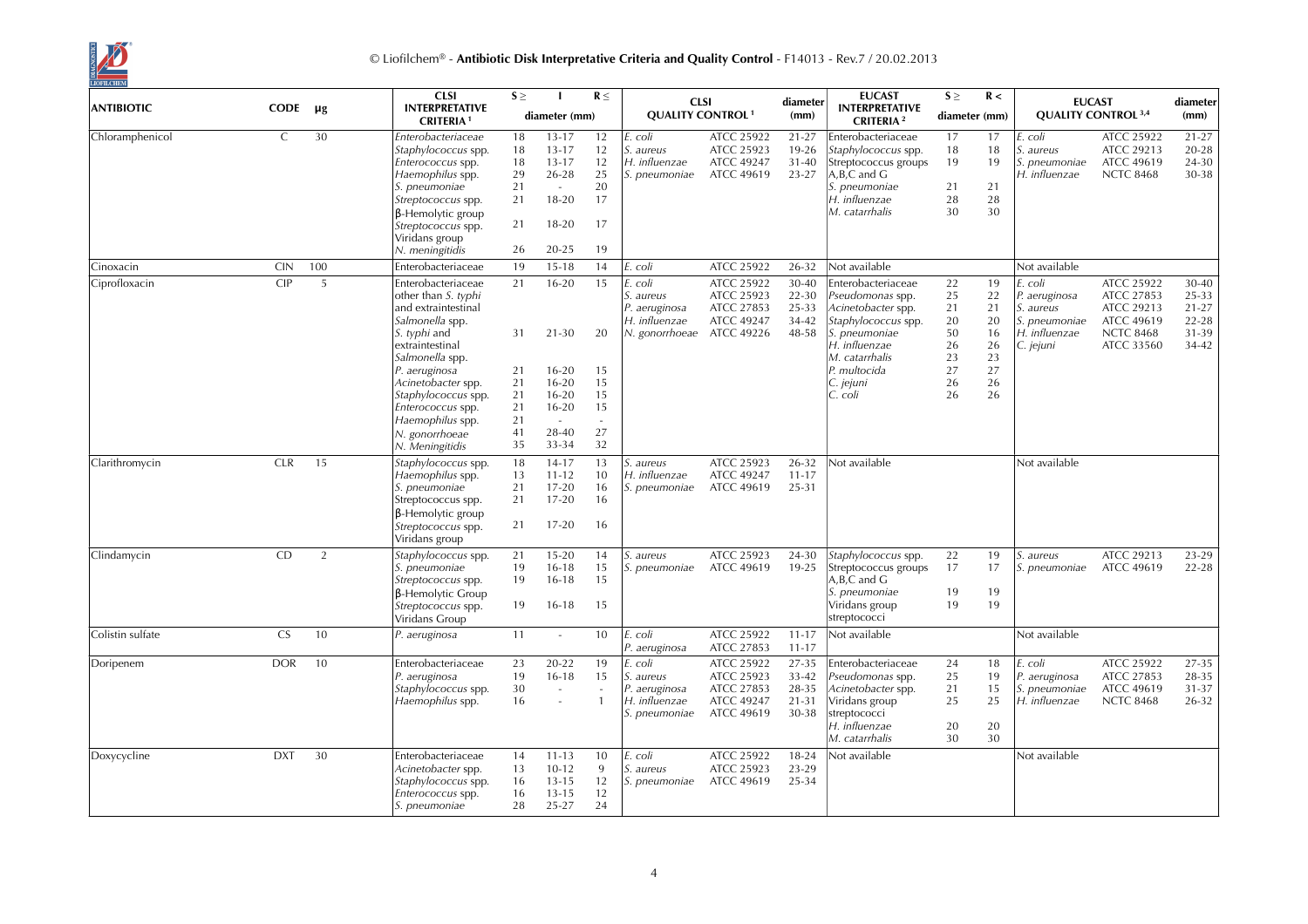

| <b>ANTIBIOTIC</b> | <b>CODE</b>   | μg  | <b>CLSI</b><br><b>INTERPRETATIVE</b><br><b>CRITERIA1</b>                                                                                                                                                         | $S \geq$                                     | diameter (mm)                                                                         | $R \leq$                                     | <b>CLSI</b><br><b>QUALITY CONTROL<sup>1</sup></b>                                |                                                                                  | diameter<br>(mm)                              | <b>EUCAST</b><br><b>INTERPRETATIVE</b><br><b>CRITERIA</b> <sup>2</sup>                                                               | $S \geq$<br>diameter (mm)        | R <                              |                                                                                      | <b>EUCAST</b><br><b>QUALITY CONTROL 3,4</b>                                                   | diameter<br>(mm)                                           |
|-------------------|---------------|-----|------------------------------------------------------------------------------------------------------------------------------------------------------------------------------------------------------------------|----------------------------------------------|---------------------------------------------------------------------------------------|----------------------------------------------|----------------------------------------------------------------------------------|----------------------------------------------------------------------------------|-----------------------------------------------|--------------------------------------------------------------------------------------------------------------------------------------|----------------------------------|----------------------------------|--------------------------------------------------------------------------------------|-----------------------------------------------------------------------------------------------|------------------------------------------------------------|
| Chloramphenicol   | $\mathcal{C}$ | 30  | Enterobacteriaceae<br>Staphylococcus spp.<br>Enterococcus spp.<br>Haemophilus spp.<br>S. pneumoniae<br>Streptococcus spp.<br>$\beta$ -Hemolytic group<br>Streptococcus spp.<br>Viridans group<br>N. meningitidis | 18<br>18<br>18<br>29<br>21<br>21<br>21<br>26 | $13 - 17$<br>$13 - 17$<br>$13 - 17$<br>$26 - 28$<br>$\sim$<br>18-20<br>18-20<br>20-25 | 12<br>12<br>12<br>25<br>20<br>17<br>17<br>19 | coli<br>S. aureus<br>H. influenzae<br>S. pneumoniae                              | <b>ATCC 25922</b><br><b>ATCC 25923</b><br><b>ATCC 49247</b><br><b>ATCC 49619</b> | $21 - 27$<br>19-26<br>$31 - 40$<br>23-27      | Enterobacteriaceae<br>Staphylococcus spp.<br>Streptococcus groups<br>A,B,C and G<br>S. pneumoniae<br>H. influenzae<br>M. catarrhalis | 17<br>18<br>19<br>21<br>28<br>30 | 17<br>18<br>19<br>21<br>28<br>30 | E. coli<br><i>S. aureus</i><br>S. pneumoniae<br>H. influenzae                        | <b>ATCC 25922</b><br><b>ATCC 29213</b><br><b>ATCC 49619</b><br><b>NCTC 8468</b>               | $21 - 27$<br>$20 - 28$<br>24-30<br>30-38                   |
| Cinoxacin         | <b>CIN</b>    | 100 | Enterobacteriaceae                                                                                                                                                                                               | 19                                           | $15 - 18$                                                                             | 14                                           | E. coli                                                                          | <b>ATCC 25922</b>                                                                | 26-32                                         | Not available                                                                                                                        |                                  |                                  | Not available                                                                        |                                                                                               |                                                            |
| Ciprofloxacin     | CIP           | 5   | Enterobacteriaceae<br>other than S. typhi<br>and extraintestinal<br>Salmonella spp.<br>S. typhi and<br>extraintestinal                                                                                           | 21<br>31                                     | $16 - 20$<br>$21 - 30$                                                                | 15<br>20                                     | coli<br>S. aureus<br>P. aeruginosa<br>H. influenzae<br>N. gonorrhoeae ATCC 49226 | ATCC 25922<br>ATCC 25923<br>ATCC 27853<br><b>ATCC 49247</b>                      | 30-40<br>22-30<br>25-33<br>34-42<br>48-58     | Enterobacteriaceae<br>Pseudomonas spp.<br>Acinetobacter spp.<br>Staphylococcus spp.<br>S. pneumoniae<br>H. influenzae                | 22<br>25<br>21<br>20<br>50<br>26 | 19<br>22<br>21<br>20<br>16<br>26 | E. coli<br>P. aeruginosa<br>S. aureus<br>S. pneumoniae<br>H. influenzae<br>C. jejuni | ATCC 25922<br>ATCC 27853<br>ATCC 29213<br><b>ATCC 49619</b><br><b>NCTC 8468</b><br>ATCC 33560 | 30-40<br>25-33<br>$21 - 27$<br>$22 - 28$<br>31-39<br>34-42 |
|                   |               |     | Salmonella spp.<br>P. aeruginosa<br>Acinetobacter spp.<br>Staphylococcus spp.<br>Enterococcus spp.<br>Haemophilus spp.<br>N. gonorrhoeae<br>N. Meningitidis                                                      | 21<br>21<br>21<br>21<br>21<br>41<br>35       | $16 - 20$<br>$16 - 20$<br>$16 - 20$<br>$16 - 20$<br>$\sim$<br>28-40<br>33-34          | 15<br>15<br>15<br>15<br>27<br>32             |                                                                                  |                                                                                  |                                               | M. catarrhalis<br>P. multocida<br>C. jejuni<br>C. coli                                                                               | 23<br>27<br>26<br>26             | 23<br>27<br>26<br>26             |                                                                                      |                                                                                               |                                                            |
| Clarithromycin    | <b>CLR</b>    | 15  | Staphylococcus spp.<br>Haemophilus spp.<br>S. pneumoniae<br>Streptococcus spp.<br><b>B-Hemolytic group</b><br>Streptococcus spp.<br>Viridans group                                                               | 18<br>13<br>21<br>21<br>21                   | $14 - 17$<br>$11 - 12$<br>$17 - 20$<br>$17 - 20$<br>$17 - 20$                         | 13<br>10<br>16<br>16<br>16                   | aureus<br>H. influenzae<br>S. pneumoniae                                         | ATCC 25923<br><b>ATCC 49247</b><br><b>ATCC 49619</b>                             | 26-32<br>$11 - 17$<br>25-31                   | Not available                                                                                                                        |                                  |                                  | Not available                                                                        |                                                                                               |                                                            |
| Clindamycin       | CD            | 2   | Staphylococcus spp.<br>S. pneumoniae<br>Streptococcus spp.<br>$\beta$ -Hemolytic Group<br>Streptococcus spp.<br>Viridans Group                                                                                   | 21<br>19<br>19<br>19                         | $15 - 20$<br>$16 - 18$<br>$16 - 18$<br>$16 - 18$                                      | 14<br>15<br>15<br>15                         | aureus<br>pneumoniae                                                             | ATCC 25923<br>ATCC 49619                                                         | 24-30<br>19-25                                | Staphylococcus spp.<br>Streptococcus groups<br>$A, B, C$ and $G$<br>S. pneumoniae<br>Viridans group<br>streptococci                  | 22<br>17<br>19<br>19             | 19<br>17<br>19<br>19             | S. aureus<br>S. pneumoniae                                                           | ATCC 29213<br><b>ATCC 49619</b>                                                               | 23-29<br>$22 - 28$                                         |
| Colistin sulfate  | CS.           | 10  | P. aeruginosa                                                                                                                                                                                                    | 11                                           | $\sim$                                                                                | 10                                           | E. coli<br>P. aeruginosa                                                         | <b>ATCC 25922</b><br>ATCC 27853                                                  | $11 - 17$<br>$11 - 17$                        | Not available                                                                                                                        |                                  |                                  | Not available                                                                        |                                                                                               |                                                            |
| Doripenem         | <b>DOR</b>    | 10  | Enterobacteriaceae<br>P. aeruginosa<br>Staphylococcus spp.<br>Haemophilus spp.                                                                                                                                   | 23<br>19<br>30<br>16                         | 20-22<br>$16 - 18$<br>$\sim$                                                          | 19<br>15                                     | E. coli<br>S. aureus<br>P. aeruginosa<br>H. influenzae<br>S. pneumoniae          | ATCC 25922<br>ATCC 25923<br>ATCC 27853<br><b>ATCC 49247</b><br><b>ATCC 49619</b> | 27-35<br>33-42<br>28-35<br>$21 - 31$<br>30-38 | Enterobacteriaceae<br>Pseudomonas spp.<br>Acinetobacter spp.<br>Viridans group<br>streptococci<br>H. influenzae<br>M. catarrhalis    | 24<br>25<br>21<br>25<br>20<br>30 | 18<br>19<br>15<br>25<br>20<br>30 | E. coli<br>P. aeruginosa<br>S. pneumoniae<br>H. influenzae                           | ATCC 25922<br>ATCC 27853<br><b>ATCC 49619</b><br><b>NCTC 8468</b>                             | 27-35<br>28-35<br>31-37<br>26-32                           |
| Doxycycline       | <b>DXT</b>    | 30  | Enterobacteriaceae<br>Acinetobacter spp.<br>Staphylococcus spp.<br>Enterococcus spp.<br>S. pneumoniae                                                                                                            | 14<br>13<br>16<br>16<br>28                   | $11 - 13$<br>$10 - 12$<br>$13 - 15$<br>$13 - 15$<br>25-27                             | 10<br>9<br>12<br>12<br>24                    | coli<br>aureus<br><i>S. pneumoniae</i>                                           | ATCC 25922<br>ATCC 25923<br><b>ATCC 49619</b>                                    | $18 - 24$<br>23-29<br>25-34                   | Not available                                                                                                                        |                                  |                                  | Not available                                                                        |                                                                                               |                                                            |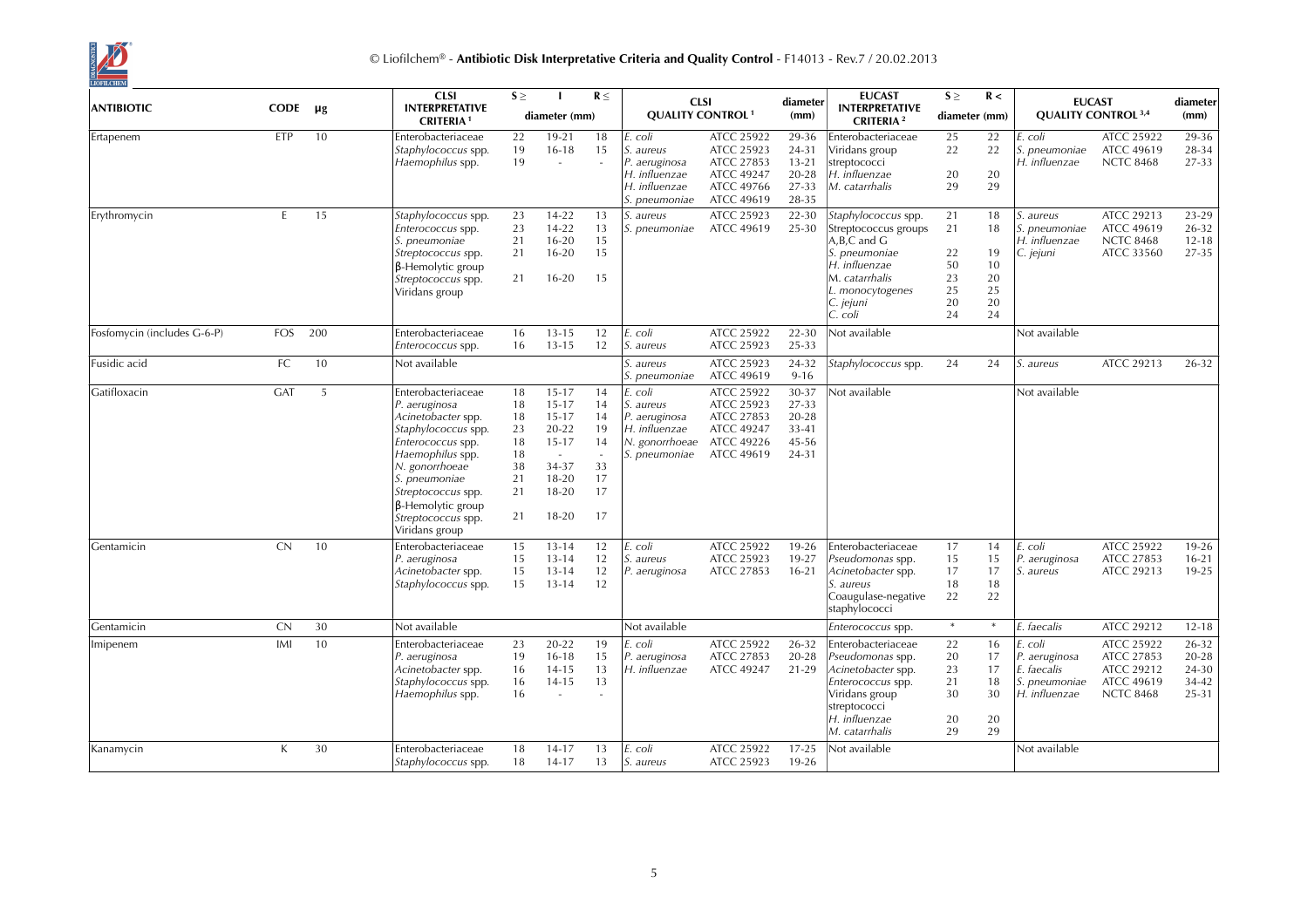

|                             |              |         | <b>CLSI</b>                                                                                                                                                                                                                                            | $S \geq$                                                 |                                                                                                                     | $R \leq$                                                             |                                                                                          | <b>CLSI</b>                                                                                    | diameter                                                   | <b>EUCAST</b>                                                                                                                                              | $S \geq$                                     | R <                                          |                                                                           | <b>EUCAST</b>                                                                   | diameter                                      |
|-----------------------------|--------------|---------|--------------------------------------------------------------------------------------------------------------------------------------------------------------------------------------------------------------------------------------------------------|----------------------------------------------------------|---------------------------------------------------------------------------------------------------------------------|----------------------------------------------------------------------|------------------------------------------------------------------------------------------|------------------------------------------------------------------------------------------------|------------------------------------------------------------|------------------------------------------------------------------------------------------------------------------------------------------------------------|----------------------------------------------|----------------------------------------------|---------------------------------------------------------------------------|---------------------------------------------------------------------------------|-----------------------------------------------|
| <b>ANTIBIOTIC</b>           | CODE         | $\mu$ g | <b>INTERPRETATIVE</b><br><b>CRITERIA1</b>                                                                                                                                                                                                              |                                                          | diameter (mm)                                                                                                       |                                                                      |                                                                                          | <b>QUALITY CONTROL<sup>1</sup></b>                                                             | (mm)                                                       | <b>INTERPRETATIVE</b><br><b>CRITERIA</b> <sup>2</sup>                                                                                                      | diameter (mm)                                |                                              |                                                                           | <b>QUALITY CONTROL 3,4</b>                                                      | (mm)                                          |
| Ertapenem                   | ETP          | 10      | Enterobacteriaceae<br>Staphylococcus spp.<br>Haemophilus spp.                                                                                                                                                                                          | 22<br>19<br>19                                           | $19 - 21$<br>$16 - 18$<br>$\sim$                                                                                    | 18<br>15<br>$\bar{a}$                                                | coli<br>S. aureus<br>P. aeruginosa<br>H. influenzae<br>H. influenzae<br>S. pneumoniae    | ATCC 25922<br>ATCC 25923<br>ATCC 27853<br><b>ATCC 49247</b><br>ATCC 49766<br><b>ATCC 49619</b> | 29-36<br>24-31<br>$13 - 21$<br>$20 - 28$<br>27-33<br>28-35 | Enterobacteriaceae<br>Viridans group<br>streptococci<br>H. influenzae<br>M. catarrhalis                                                                    | 25<br>22<br>20<br>29                         | 22<br>22<br>20<br>29                         | . coli<br>S. pneumoniae<br>H. influenzae                                  | ATCC 25922<br><b>ATCC 49619</b><br><b>NCTC 8468</b>                             | 29-36<br>28-34<br>27-33                       |
| Erythromycin                | E.           | 15      | Staphylococcus spp.<br>Enterococcus spp.<br>S. pneumoniae<br>Streptococcus spp.<br>$\beta$ -Hemolytic group<br>Streptococcus spp.<br>Viridans group                                                                                                    | 23<br>23<br>21<br>21<br>21                               | 14-22<br>$14 - 22$<br>$16 - 20$<br>$16 - 20$<br>$16 - 20$                                                           | 13<br>13<br>15<br>15<br>15                                           | S. aureus<br>S. pneumoniae                                                               | ATCC 25923<br>ATCC 49619                                                                       | 22-30<br>25-30                                             | Staphylococcus spp.<br>Streptococcus groups<br>A,B,C and G<br>S. pneumoniae<br>H. influenzae<br>M. catarrhalis<br>L. monocytogenes<br>C. jejuni<br>C. coli | 21<br>21<br>22<br>50<br>23<br>25<br>20<br>24 | 18<br>18<br>19<br>10<br>20<br>25<br>20<br>24 | S. aureus<br>S. pneumoniae<br>H. influenzae<br>C. jejuni                  | ATCC 29213<br><b>ATCC 49619</b><br><b>NCTC 8468</b><br>ATCC 33560               | 23-29<br>26-32<br>$12 - 18$<br>27-35          |
| Fosfomycin (includes G-6-P) | <b>FOS</b>   | 200     | Enterobacteriaceae<br>Enterococcus spp.                                                                                                                                                                                                                | 16<br>16                                                 | $13 - 15$<br>$13 - 15$                                                                                              | 12<br>12                                                             | coli<br>S. aureus                                                                        | ATCC 25922<br>ATCC 25923                                                                       | $22 - 30$<br>25-33                                         | Not available                                                                                                                                              |                                              |                                              | Not available                                                             |                                                                                 |                                               |
| Fusidic acid                | FC.          | 10      | Not available                                                                                                                                                                                                                                          |                                                          |                                                                                                                     |                                                                      | S. aureus<br>S. pneumoniae                                                               | ATCC 25923<br>ATCC 49619                                                                       | 24-32<br>$9 - 16$                                          | Staphylococcus spp.                                                                                                                                        | 24                                           | 24                                           | S. aureus                                                                 | ATCC 29213                                                                      | 26-32                                         |
| Gatifloxacin                | <b>GAT</b>   | 5       | Enterobacteriaceae<br>P. aeruginosa<br>Acinetobacter spp.<br>Staphylococcus spp.<br>Enterococcus spp.<br>Haemophilus spp.<br>N. gonorrhoeae<br>S. pneumoniae<br>Streptococcus spp.<br>$\beta$ -Hemolytic group<br>Streptococcus spp.<br>Viridans group | 18<br>18<br>18<br>23<br>18<br>18<br>38<br>21<br>21<br>21 | $15 - 17$<br>$15 - 17$<br>$15 - 17$<br>$20 - 22$<br>$15 - 17$<br>$\sim$<br>34-37<br>$18 - 20$<br>$18 - 20$<br>18-20 | 14<br>14<br>14<br>19<br>14<br>$\overline{a}$<br>33<br>17<br>17<br>17 | . coli<br>S. aureus<br>P. aeruginosa<br>H. influenzae<br>N. gonorrhoeae<br>S. pneumoniae | ATCC 25922<br>ATCC 25923<br>ATCC 27853<br><b>ATCC 49247</b><br><b>ATCC 49226</b><br>ATCC 49619 | 30-37<br>27-33<br>20-28<br>$33 - 41$<br>45-56<br>24-31     | Not available                                                                                                                                              |                                              |                                              | Not available                                                             |                                                                                 |                                               |
| Gentamicin                  | <b>CN</b>    | 10      | Enterobacteriaceae<br>P. aeruginosa<br>Acinetobacter spp.<br>Staphylococcus spp.                                                                                                                                                                       | 15<br>15<br>15<br>15                                     | $13 - 14$<br>$13 - 14$<br>$13 - 14$<br>$13 - 14$                                                                    | 12<br>12<br>12<br>12                                                 | coli<br>aureus<br>P. aeruginosa                                                          | ATCC 25922<br>ATCC 25923<br>ATCC 27853                                                         | 19-26<br>19-27<br>$16 - 21$                                | Enterobacteriaceae<br>Pseudomonas spp.<br>Acinetobacter spp.<br>S. aureus<br>Coaugulase-negative<br>staphylococci                                          | 17<br>15<br>17<br>18<br>22                   | 14<br>15<br>17<br>18<br>22                   | E. coli<br>P. aeruginosa<br>S. aureus                                     | ATCC 25922<br>ATCC 27853<br>ATCC 29213                                          | $19-26$<br>$16 - 21$<br>19-25                 |
| Gentamicin                  | CN           | 30      | Not available                                                                                                                                                                                                                                          |                                                          |                                                                                                                     |                                                                      | Not available                                                                            |                                                                                                |                                                            | Enterococcus spp.                                                                                                                                          | $\ast$                                       | $\ast$                                       | E. faecalis                                                               | ATCC 29212                                                                      | $12 - 18$                                     |
| Imipenem                    | IMI          | 10      | Enterobacteriaceae<br>P. aeruginosa<br>Acinetobacter spp.<br>Staphylococcus spp.<br>Haemophilus spp.                                                                                                                                                   | 23<br>19<br>16<br>16<br>16                               | $20 - 22$<br>$16 - 18$<br>$14 - 15$<br>$14 - 15$<br>÷,                                                              | 19<br>15<br>13<br>13<br>L.                                           | E. coli<br>P. aeruginosa<br>H. influenzae                                                | <b>ATCC 25922</b><br>ATCC 27853<br>ATCC 49247                                                  | 26-32<br>20-28<br>21-29                                    | Enterobacteriaceae<br>Pseudomonas spp.<br>Acinetobacter spp.<br>Enterococcus spp.<br>Viridans group<br>streptococci<br>H. influenzae<br>M. catarrhalis     | 22<br>20<br>23<br>21<br>30<br>20<br>29       | 16<br>17<br>17<br>18<br>30<br>20<br>29       | E. coli<br>P. aeruginosa<br>E. faecalis<br>S. pneumoniae<br>H. influenzae | <b>ATCC 25922</b><br>ATCC 27853<br>ATCC 29212<br>ATCC 49619<br><b>NCTC 8468</b> | 26-32<br>$20 - 28$<br>24-30<br>34-42<br>25-31 |
| Kanamycin                   | $\mathsf{K}$ | 30      | Enterobacteriaceae<br>Staphylococcus spp.                                                                                                                                                                                                              | 18<br>18                                                 | $14 - 17$<br>$14-17$                                                                                                | 13<br>13                                                             | E. coli<br>S. aureus                                                                     | <b>ATCC 25922</b><br>ATCC 25923                                                                | $17 - 25$<br>19-26                                         | Not available                                                                                                                                              |                                              |                                              | Not available                                                             |                                                                                 |                                               |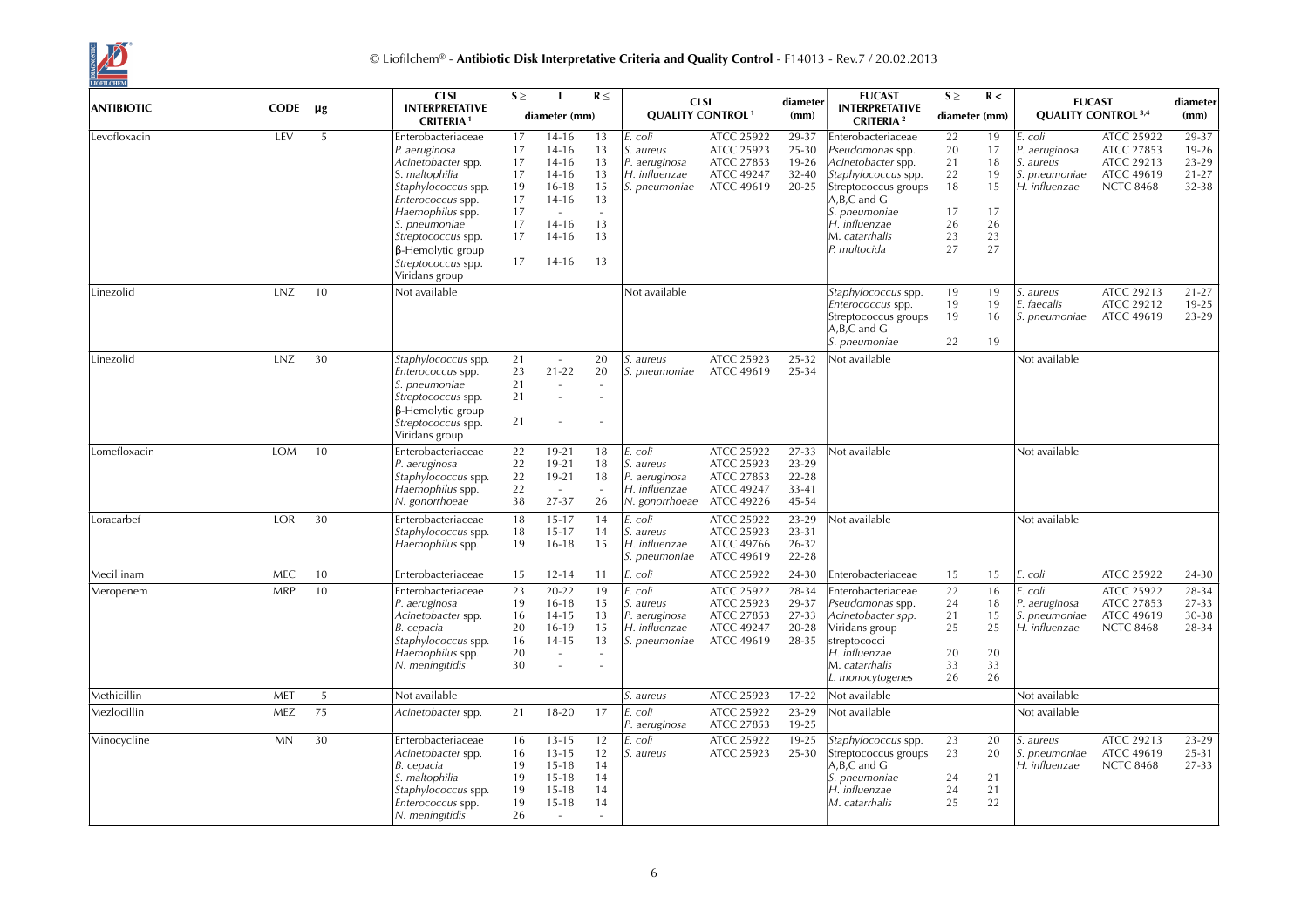

| <b>ANTIBIOTIC</b> | <b>CODE</b> | μg             | <b>CLSI</b><br><b>INTERPRETATIVE</b>                                                                                                                                                                                                                   | $S \geq$                                                 |                                                                                                                   | $R \leq$                                                     |                                                                          | <b>CLSI</b>                                                                      | diameter                                        | <b>EUCAST</b><br><b>INTERPRETATIVE</b>                                                                                                                                                           | $S \geq$                                           | R <                                                |                                                                         | <b>EUCAST</b>                                                                          | diameter                                      |
|-------------------|-------------|----------------|--------------------------------------------------------------------------------------------------------------------------------------------------------------------------------------------------------------------------------------------------------|----------------------------------------------------------|-------------------------------------------------------------------------------------------------------------------|--------------------------------------------------------------|--------------------------------------------------------------------------|----------------------------------------------------------------------------------|-------------------------------------------------|--------------------------------------------------------------------------------------------------------------------------------------------------------------------------------------------------|----------------------------------------------------|----------------------------------------------------|-------------------------------------------------------------------------|----------------------------------------------------------------------------------------|-----------------------------------------------|
|                   |             |                | <b>CRITERIA1</b>                                                                                                                                                                                                                                       |                                                          | diameter (mm)                                                                                                     |                                                              | <b>QUALITY CONTROL<sup>1</sup></b>                                       |                                                                                  | (mm)                                            | <b>CRITERIA</b> <sup>2</sup>                                                                                                                                                                     | diameter (mm)                                      |                                                    |                                                                         | <b>QUALITY CONTROL 3,4</b>                                                             | (mm)                                          |
| Levofloxacin      | LEV         | 5              | Enterobacteriaceae<br>P. aeruginosa<br>Acinetobacter spp.<br>S. maltophilia<br>Staphylococcus spp.<br>Enterococcus spp.<br>Haemophilus spp.<br>S. pneumoniae<br>Streptococcus spp.<br>$\beta$ -Hemolytic group<br>Streptococcus spp.<br>Viridans group | 17<br>17<br>17<br>17<br>19<br>17<br>17<br>17<br>17<br>17 | $14 - 16$<br>$14 - 16$<br>$14 - 16$<br>$14 - 16$<br>$16 - 18$<br>$14 - 16$<br>$14 - 16$<br>$14 - 16$<br>$14 - 16$ | 13<br>13<br>13<br>13<br>15<br>13<br>$\sim$<br>13<br>13<br>13 | E. coli<br>S. aureus<br>P. aeruginosa<br>H. influenzae<br>S. pneumoniae  | ATCC 25922<br>ATCC 25923<br>ATCC 27853<br><b>ATCC 49247</b><br><b>ATCC 49619</b> | 29-37<br>25-30<br>$19-26$<br>$32 - 40$<br>20-25 | Enterobacteriaceae<br>Pseudomonas spp.<br>Acinetobacter spp.<br>Staphylococcus spp.<br>Streptococcus groups<br>A, B, C and G<br>S. pneumoniae<br>H. influenzae<br>M. catarrhalis<br>P. multocida | 22<br>20<br>21<br>22<br>18<br>17<br>26<br>23<br>27 | 19<br>17<br>18<br>19<br>15<br>17<br>26<br>23<br>27 | E. coli<br>P. aeruginosa<br>S. aureus<br>S. pneumoniae<br>H. influenzae | <b>ATCC 25922</b><br>ATCC 27853<br>ATCC 29213<br><b>ATCC 49619</b><br><b>NCTC 8468</b> | 29-37<br>19-26<br>23-29<br>$21 - 27$<br>32-38 |
| Linezolid         | LNZ         | 10             | Not available                                                                                                                                                                                                                                          |                                                          |                                                                                                                   |                                                              | Not available                                                            |                                                                                  |                                                 | Staphylococcus spp.<br>Enterococcus spp.<br>Streptococcus groups<br>A, B, C and G<br>S. pneumoniae                                                                                               | 19<br>19<br>19<br>22                               | 19<br>19<br>16<br>19                               | S. aureus<br>E. faecalis<br>S. pneumoniae                               | ATCC 29213<br>ATCC 29212<br><b>ATCC 49619</b>                                          | $21 - 27$<br>19-25<br>23-29                   |
| Linezolid         | <b>LNZ</b>  | 30             | Staphylococcus spp.<br>Enterococcus spp.<br>S. pneumoniae<br>Streptococcus spp.<br>$\beta$ -Hemolytic group<br>Streptococcus spp.<br>Viridans group                                                                                                    | 21<br>23<br>21<br>21<br>21                               | $\sim$<br>$21 - 22$<br>$\sim$<br>÷.                                                                               | 20<br>20<br>$\overline{a}$                                   | aureus<br>pneumoniae                                                     | <b>ATCC 25923</b><br><b>ATCC 49619</b>                                           | 25-32<br>25-34                                  | Not available                                                                                                                                                                                    |                                                    |                                                    | Not available                                                           |                                                                                        |                                               |
| Lomefloxacin      | <b>TOM</b>  | 10             | Enterobacteriaceae<br>P. aeruginosa<br>Staphylococcus spp.<br>Haemophilus spp.<br>N. gonorrhoeae                                                                                                                                                       | 22<br>22<br>22<br>22<br>38                               | $19 - 21$<br>$19 - 21$<br>$19 - 21$<br>$\sim$<br>27-37                                                            | 18<br>18<br>18<br>26                                         | E. coli<br>S. aureus<br>P. aeruginosa<br>H. influenzae<br>N. gonorrhoeae | ATCC 25922<br>ATCC 25923<br>ATCC 27853<br><b>ATCC 49247</b><br>ATCC 49226        | 27-33<br>23-29<br>22-28<br>33-41<br>45-54       | Not available                                                                                                                                                                                    |                                                    |                                                    | Not available                                                           |                                                                                        |                                               |
| Loracarbef        | <b>LOR</b>  | 30             | Enterobacteriaceae<br>Staphylococcus spp.<br>Haemophilus spp.                                                                                                                                                                                          | 18<br>18<br>19                                           | $15 - 17$<br>$15 - 17$<br>$16 - 18$                                                                               | 14<br>14<br>15                                               | E. coli<br>S. aureus<br>H. influenzae<br>S. pneumoniae                   | <b>ATCC 25922</b><br>ATCC 25923<br><b>ATCC 49766</b><br><b>ATCC 49619</b>        | 23-29<br>23-31<br>26-32<br>$22 - 28$            | Not available                                                                                                                                                                                    |                                                    |                                                    | Not available                                                           |                                                                                        |                                               |
| Mecillinam        | <b>MEC</b>  | 10             | Enterobacteriaceae                                                                                                                                                                                                                                     | 15                                                       | $12 - 14$                                                                                                         | 11                                                           | E. coli                                                                  | ATCC 25922                                                                       | 24-30                                           | Enterobacteriaceae                                                                                                                                                                               | 15                                                 | 15                                                 | E. coli                                                                 | <b>ATCC 25922</b>                                                                      | 24-30                                         |
| Meropenem         | <b>MRP</b>  | 10             | Enterobacteriaceae<br>P. aeruginosa<br>Acinetobacter spp.<br>B. cepacia<br>Staphylococcus spp.<br>Haemophilus spp.<br>N. meningitidis                                                                                                                  | 23<br>19<br>16<br>20<br>16<br>20<br>30                   | $20 - 22$<br>$16 - 18$<br>$14 - 15$<br>16-19<br>$14 - 15$                                                         | 19<br>15<br>13<br>15<br>13<br>$\sim$<br>L.                   | E. coli<br>S. aureus<br>P. aeruginosa<br>H. influenzae<br>S. pneumoniae  | ATCC 25922<br>ATCC 25923<br>ATCC 27853<br><b>ATCC 49247</b><br><b>ATCC 49619</b> | 28-34<br>29-37<br>27-33<br>20-28<br>28-35       | Enterobacteriaceae<br>Pseudomonas spp.<br>Acinetobacter spp.<br>Viridans group<br>streptococci<br>H. influenzae<br>M. catarrhalis<br>L. monocytogenes                                            | 22<br>24<br>21<br>25<br>20<br>33<br>26             | 16<br>18<br>15<br>25<br>20<br>33<br>26             | E. coli<br>P. aeruginosa<br>S. pneumoniae<br>H. influenzae              | ATCC 25922<br>ATCC 27853<br><b>ATCC 49619</b><br><b>NCTC 8468</b>                      | 28-34<br>27-33<br>30-38<br>28-34              |
| Methicillin       | MET         | $\overline{5}$ | Not available                                                                                                                                                                                                                                          |                                                          |                                                                                                                   |                                                              | S. aureus                                                                | ATCC 25923                                                                       | $17 - 22$                                       | Not available                                                                                                                                                                                    |                                                    |                                                    | Not available                                                           |                                                                                        |                                               |
| Mezlocillin       | <b>MEZ</b>  | 75             | Acinetobacter spp.                                                                                                                                                                                                                                     | 21                                                       | $18 - 20$                                                                                                         | 17                                                           | E. coli<br>P. aeruginosa                                                 | ATCC 25922<br>ATCC 27853                                                         | 23-29<br>19-25                                  | Not available                                                                                                                                                                                    |                                                    |                                                    | Not available                                                           |                                                                                        |                                               |
| Minocycline       | <b>MN</b>   | 30             | Enterobacteriaceae<br>Acinetobacter spp.<br>B. cepacia<br>S. maltophilia<br>Staphylococcus spp.<br>Enterococcus spp.<br>N. meningitidis                                                                                                                | 16<br>16<br>19<br>19<br>19<br>19<br>26                   | $13 - 15$<br>$13 - 15$<br>$15 - 18$<br>$15 - 18$<br>$15 - 18$<br>$15 - 18$                                        | 12<br>12<br>14<br>14<br>14<br>14                             | E. coli<br>S. aureus                                                     | ATCC 25922<br>ATCC 25923                                                         | 19-25<br>25-30                                  | Staphylococcus spp.<br>Streptococcus groups<br>$A,B,C$ and $G$<br>S. pneumoniae<br>H. influenzae<br>M. catarrhalis                                                                               | 23<br>23<br>24<br>24<br>25                         | 20<br>20<br>21<br>21<br>22                         | S. aureus<br><i>S. pneumoniae</i><br>H. influenzae                      | ATCC 29213<br><b>ATCC 49619</b><br><b>NCTC 8468</b>                                    | 23-29<br>25-31<br>27-33                       |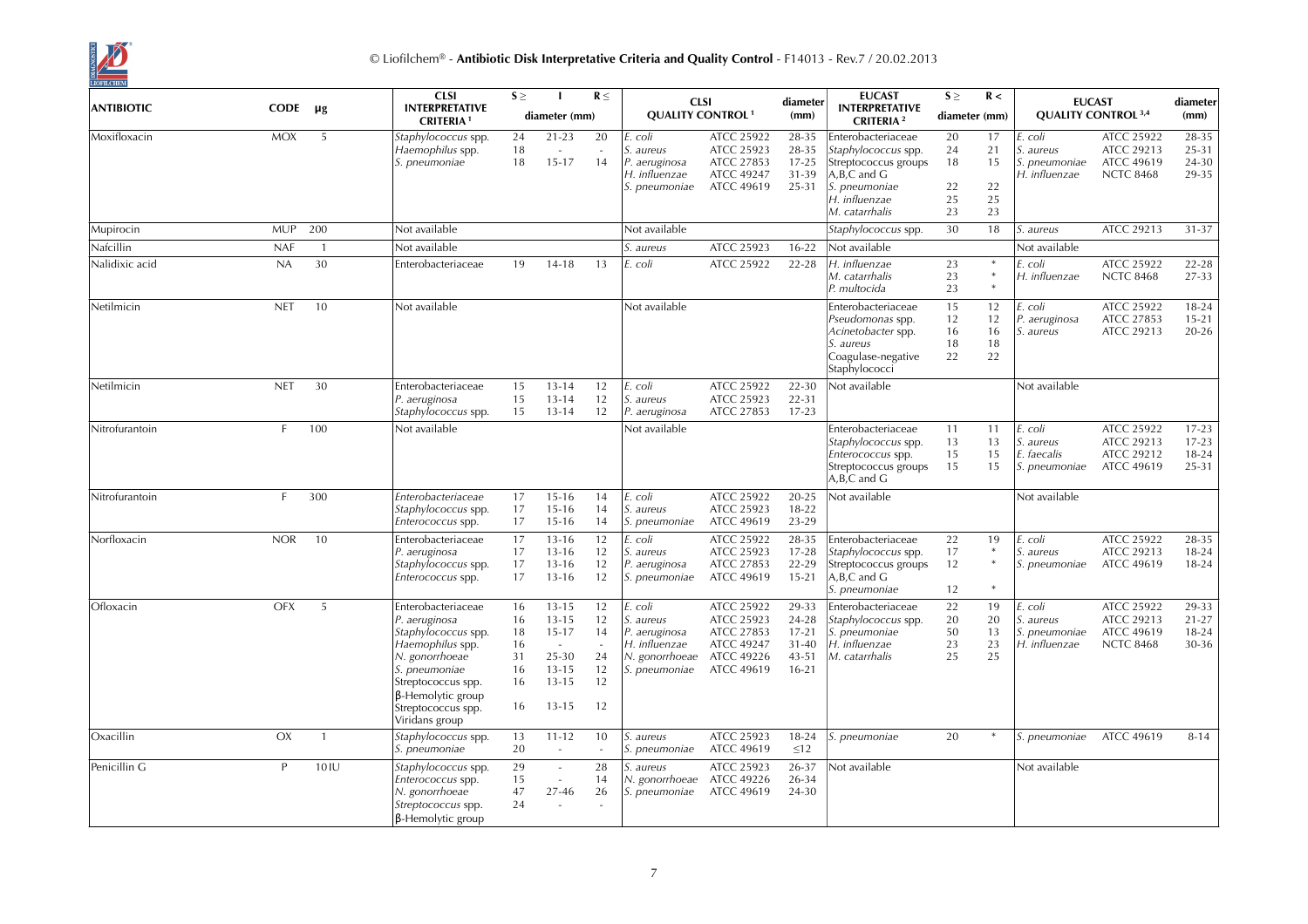

| <b>ANTIBIOTIC</b> | CODE       | μg             | <b>CLSI</b><br><b>INTERPRETATIVE</b><br><b>CRITERIA1</b>                                                                                                                                             | $S \geq$                                     | diameter (mm)                                                                                 | $R \leq$                                         |                                                                                          | <b>CLSI</b><br><b>QUALITY CONTROL<sup>1</sup></b>                                       | diameter<br>(mm)                                               | <b>EUCAST</b><br><b>INTERPRETATIVE</b><br><b>CRITERIA</b> <sup>2</sup>                                                                     | $S \geq$<br>diameter (mm)        | R <                              | <b>EUCAST</b>                                                 | <b>QUALITY CONTROL 3,4</b>                                               | diameter<br>(mm)                         |
|-------------------|------------|----------------|------------------------------------------------------------------------------------------------------------------------------------------------------------------------------------------------------|----------------------------------------------|-----------------------------------------------------------------------------------------------|--------------------------------------------------|------------------------------------------------------------------------------------------|-----------------------------------------------------------------------------------------|----------------------------------------------------------------|--------------------------------------------------------------------------------------------------------------------------------------------|----------------------------------|----------------------------------|---------------------------------------------------------------|--------------------------------------------------------------------------|------------------------------------------|
| Moxifloxacin      | <b>MOX</b> | 5              | Staphylococcus spp.<br>Haemophilus spp.<br>S. pneumoniae                                                                                                                                             | 24<br>18<br>18                               | $21 - 23$<br>$\sim$<br>$15 - 17$                                                              | 20<br>$\sim$<br>14                               | E. coli<br>S. aureus<br>P. aeruginosa<br>H. influenzae<br>S. pneumoniae                  | ATCC 25922<br>ATCC 25923<br>ATCC 27853<br><b>ATCC 49247</b><br><b>ATCC 49619</b>        | 28-35<br>28-35<br>$17 - 25$<br>31-39<br>25-31                  | Enterobacteriaceae<br>Staphylococcus spp.<br>Streptococcus groups<br>$A, B, C$ and $G$<br>S. pneumoniae<br>H. influenzae<br>M. catarrhalis | 20<br>24<br>18<br>22<br>25<br>23 | 17<br>21<br>15<br>22<br>25<br>23 | E. coli<br>S. aureus<br>S. pneumoniae<br>H. influenzae        | <b>ATCC 25922</b><br>ATCC 29213<br><b>ATCC 49619</b><br><b>NCTC 8468</b> | 28-35<br>25-31<br>24-30<br>29-35         |
| Mupirocin         | <b>MUP</b> | 200            | Not available                                                                                                                                                                                        |                                              |                                                                                               |                                                  | Not available                                                                            |                                                                                         |                                                                | Staphylococcus spp.                                                                                                                        | 30                               | 18                               | S. aureus                                                     | ATCC 29213                                                               | 31-37                                    |
| Nafcillin         | <b>NAF</b> | $\overline{1}$ | Not available                                                                                                                                                                                        |                                              |                                                                                               |                                                  | S. aureus                                                                                | ATCC 25923                                                                              | $16 - 22$                                                      | Not available                                                                                                                              |                                  |                                  | Not available                                                 |                                                                          |                                          |
| Nalidixic acid    | NA         | 30             | Enterobacteriaceae                                                                                                                                                                                   | 19                                           | $14 - 18$                                                                                     | 13                                               | E. coli                                                                                  | ATCC 25922                                                                              | $22 - 28$                                                      | H. influenzae<br>M. catarrhalis<br>P. multocida                                                                                            | 23<br>23<br>23                   |                                  | E. coli<br>H. influenzae                                      | ATCC 25922<br><b>NCTC 8468</b>                                           | $22 - 28$<br>27-33                       |
| Netilmicin        | <b>NET</b> | 10             | Not available                                                                                                                                                                                        |                                              |                                                                                               |                                                  | Not available                                                                            |                                                                                         |                                                                | Enterobacteriaceae<br>Pseudomonas spp.<br>Acinetobacter spp.<br>S. aureus<br>Coagulase-negative<br>Staphylococci                           | 15<br>12<br>16<br>18<br>22       | 12<br>12<br>16<br>18<br>22       | E. coli<br>P. aeruginosa<br>S. aureus                         | ATCC 25922<br>ATCC 27853<br>ATCC 29213                                   | $18 - 24$<br>$15 - 21$<br>$20 - 26$      |
| Netilmicin        | <b>NET</b> | 30             | Enterobacteriaceae<br>P. aeruginosa<br>Staphylococcus spp.                                                                                                                                           | 15<br>15<br>15                               | $13 - 14$<br>$13 - 14$<br>$13 - 14$                                                           | 12<br>12<br>12                                   | E. coli<br>S. aureus<br>P. aeruginosa                                                    | ATCC 25922<br>ATCC 25923<br>ATCC 27853                                                  | 22-30<br>22-31<br>$17 - 23$                                    | Not available                                                                                                                              |                                  |                                  | Not available                                                 |                                                                          |                                          |
| Nitrofurantoin    | F.         | 100            | Not available                                                                                                                                                                                        |                                              |                                                                                               |                                                  | Not available                                                                            |                                                                                         |                                                                | Enterobacteriaceae<br>Staphylococcus spp.<br>Enterococcus spp.<br>Streptococcus groups<br>$A, B, C$ and $G$                                | 11<br>13<br>15<br>15             | 11<br>13<br>15<br>15             | E. coli<br><i>S. aureus</i><br>E. faecalis<br>S. pneumoniae   | ATCC 25922<br>ATCC 29213<br>ATCC 29212<br><b>ATCC 49619</b>              | $17 - 23$<br>$17 - 23$<br>18-24<br>25-31 |
| Nitrofurantoin    | F.         | 300            | Enterobacteriaceae<br>Staphylococcus spp.<br>Enterococcus spp.                                                                                                                                       | 17<br>17<br>17                               | $15 - 16$<br>$15 - 16$<br>$15 - 16$                                                           | 14<br>14<br>14                                   | E. coli<br>S. aureus<br>S. pneumoniae                                                    | ATCC 25922<br>ATCC 25923<br><b>ATCC 49619</b>                                           | 20-25<br>18-22<br>23-29                                        | Not available                                                                                                                              |                                  |                                  | Not available                                                 |                                                                          |                                          |
| Norfloxacin       | <b>NOR</b> | 10             | Enterobacteriaceae<br>P. aeruginosa<br>Staphylococcus spp.<br>Enterococcus spp.                                                                                                                      | 17<br>17<br>17<br>17                         | $13 - 16$<br>$13 - 16$<br>$13 - 16$<br>$13 - 16$                                              | 12<br>12<br>12<br>12                             | E. coli<br>S. aureus<br>P. aeruginosa<br>S. pneumoniae                                   | ATCC 25922<br>ATCC 25923<br>ATCC 27853<br><b>ATCC 49619</b>                             | 28-35<br>$17 - 28$<br>22-29<br>$15 - 21$                       | Enterobacteriaceae<br>Staphylococcus spp.<br>Streptococcus groups<br>$A, B, C$ and $G$<br>S. pneumoniae                                    | 22<br>17<br>12<br>12             | 19<br>$\ast$                     | E. coli<br><i>S. aureus</i><br>S. pneumoniae                  | ATCC 25922<br>ATCC 29213<br><b>ATCC 49619</b>                            | 28-35<br>$18 - 24$<br>18-24              |
| Ofloxacin         | <b>OFX</b> | 5              | Enterobacteriaceae<br>P. aeruginosa<br>Staphylococcus spp.<br>Haemophilus spp.<br>N. gonorrhoeae<br>S. pneumoniae<br>Streptococcus spp.<br>β-Hemolytic group<br>Streptococcus spp.<br>Viridans group | 16<br>16<br>18<br>16<br>31<br>16<br>16<br>16 | $13 - 15$<br>$13 - 15$<br>$15 - 17$<br>$\sim$<br>25-30<br>$13 - 15$<br>$13 - 15$<br>$13 - 15$ | 12<br>12<br>14<br>$\sim$<br>24<br>12<br>12<br>12 | . coli<br>S. aureus<br>P. aeruginosa<br>H. influenzae<br>N. gonorrhoeae<br>S. pneumoniae | ATCC 25922<br>ATCC 25923<br>ATCC 27853<br>ATCC 49247<br>ATCC 49226<br><b>ATCC 49619</b> | 29-33<br>24-28<br>$17 - 21$<br>$31 - 40$<br>43-51<br>$16 - 21$ | Enterobacteriaceae<br>Staphylococcus spp.<br>S. pneumoniae<br>H. influenzae<br>M. catarrhalis                                              | 22<br>20<br>50<br>23<br>25       | 19<br>20<br>13<br>23<br>25       | E. coli<br><i>S. aureus</i><br>S. pneumoniae<br>H. influenzae | <b>ATCC 25922</b><br>ATCC 29213<br><b>ATCC 49619</b><br><b>NCTC 8468</b> | 29-33<br>$21 - 27$<br>18-24<br>30-36     |
| Oxacillin         | OX         | $\overline{1}$ | Staphylococcus spp.<br>S. pneumoniae                                                                                                                                                                 | 13<br>20                                     | $11 - 12$<br>$\overline{\phantom{a}}$                                                         | 10                                               | S. aureus<br>S. pneumoniae                                                               | ATCC 25923<br>ATCC 49619                                                                | 18-24<br>$\leq$ 12                                             | S. pneumoniae                                                                                                                              | 20                               |                                  | S. pneumoniae                                                 | <b>ATCC 49619</b>                                                        | $8 - 14$                                 |
| Penicillin G      | P          | 10IU           | Staphylococcus spp.<br>Enterococcus spp.<br>N. gonorrhoeae<br>Streptococcus spp.<br>$\beta$ -Hemolytic group                                                                                         | 29<br>15<br>47<br>24                         | $\sim$<br>$\overline{\phantom{a}}$<br>27-46<br>$\sim$                                         | 28<br>14<br>26                                   | S. aureus<br>N. gonorrhoeae ATCC 49226<br>S. pneumoniae                                  | ATCC 25923<br><b>ATCC 49619</b>                                                         | 26-37<br>26-34<br>24-30                                        | Not available                                                                                                                              |                                  |                                  | Not available                                                 |                                                                          |                                          |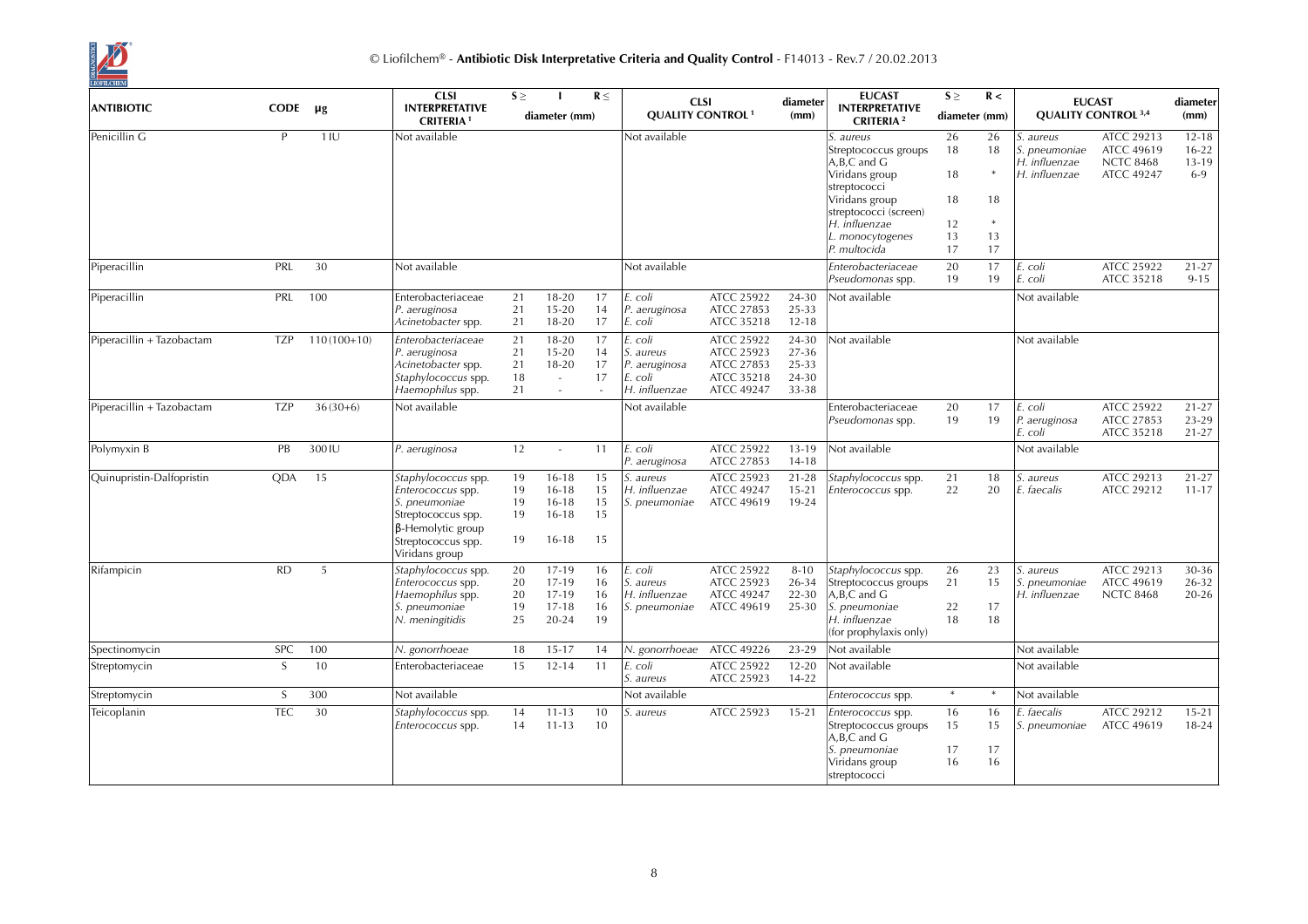

|                           |             |               | <b>CLSI</b>                                                                                                                                         | $S \geq$                   |                                                               | $R \leq$                   | <b>CLSI</b>                                                      |                                                                           | diameter                                  | <b>EUCAST</b>                                                                                                                | $S \geq$             | R <                  |                                                                     | <b>EUCAST</b>                                                            | diameter                                   |
|---------------------------|-------------|---------------|-----------------------------------------------------------------------------------------------------------------------------------------------------|----------------------------|---------------------------------------------------------------|----------------------------|------------------------------------------------------------------|---------------------------------------------------------------------------|-------------------------------------------|------------------------------------------------------------------------------------------------------------------------------|----------------------|----------------------|---------------------------------------------------------------------|--------------------------------------------------------------------------|--------------------------------------------|
| <b>ANTIBIOTIC</b>         | <b>CODE</b> | $\mu$ g       | <b>INTERPRETATIVE</b><br><b>CRITERIA1</b>                                                                                                           |                            | diameter (mm)                                                 |                            | <b>QUALITY CONTROL<sup>1</sup></b>                               |                                                                           | (mm)                                      | <b>INTERPRETATIVE</b><br><b>CRITERIA</b> <sup>2</sup>                                                                        | diameter (mm)        |                      |                                                                     | <b>QUALITY CONTROL 3,4</b>                                               | (mm)                                       |
| Penicillin G              | P           | 11U           | Not available                                                                                                                                       |                            |                                                               |                            | Not available                                                    |                                                                           |                                           | S. aureus<br>Streptococcus groups<br>A,B,C and G<br>Viridans group                                                           | 26<br>18<br>18       | 26<br>18             | <i>S. aureus</i><br>S. pneumoniae<br>H. influenzae<br>H. influenzae | ATCC 29213<br><b>ATCC 49619</b><br><b>NCTC 8468</b><br><b>ATCC 49247</b> | $12 - 18$<br>$16 - 22$<br>$13-19$<br>$6-9$ |
|                           |             |               |                                                                                                                                                     |                            |                                                               |                            |                                                                  |                                                                           |                                           | streptococci<br>Viridans group<br>streptococci (screen)<br>H. influenzae<br>L. monocytogenes                                 | 18<br>12<br>13       | 18<br>*<br>13        |                                                                     |                                                                          |                                            |
|                           |             |               |                                                                                                                                                     |                            |                                                               |                            |                                                                  |                                                                           |                                           | P. multocida                                                                                                                 | 17                   | 17                   |                                                                     |                                                                          |                                            |
| Piperacillin              | PRL         | 30            | Not available                                                                                                                                       |                            |                                                               |                            | Not available                                                    |                                                                           |                                           | Enterobacteriaceae<br>Pseudomonas spp.                                                                                       | 20<br>19             | 17<br>19             | E. coli<br>E. coli                                                  | ATCC 25922<br>ATCC 35218                                                 | $21 - 27$<br>$9 - 15$                      |
| Piperacillin              | PRL         | 100           | Enterobacteriaceae<br>P. aeruginosa<br>Acinetobacter spp.                                                                                           | 21<br>21<br>21             | 18-20<br>$15 - 20$<br>18-20                                   | 17<br>14<br>17             | E. coli<br>P. aeruginosa<br>E. coli                              | ATCC 25922<br>ATCC 27853<br>ATCC 35218                                    | 24-30<br>25-33<br>$12 - 18$               | Not available                                                                                                                |                      |                      | Not available                                                       |                                                                          |                                            |
| Piperacillin + Tazobactam | <b>TZP</b>  | $110(100+10)$ | Enterobacteriaceae<br>P. aeruginosa<br>Acinetobacter spp.<br>Staphylococcus spp.<br>Haemophilus spp.                                                | 21<br>21<br>21<br>18<br>21 | $18 - 20$<br>$15 - 20$<br>$18 - 20$<br>$\sim$<br>$\sim$       | 17<br>14<br>17<br>17       | . coli<br>S. aureus<br>P. aeruginosa<br>E. coli<br>H. influenzae | ATCC 25922<br><b>ATCC 25923</b><br>ATCC 27853<br>ATCC 35218<br>ATCC 49247 | 24-30<br>27-36<br>25-33<br>24-30<br>33-38 | Not available                                                                                                                |                      |                      | Not available                                                       |                                                                          |                                            |
| Piperacillin + Tazobactam | <b>TZP</b>  | $36(30+6)$    | Not available                                                                                                                                       |                            |                                                               |                            | Not available                                                    |                                                                           |                                           | Enterobacteriaceae<br>Pseudomonas spp.                                                                                       | 20<br>19             | 17<br>19             | E. coli<br>P. aeruginosa<br>E. coli                                 | ATCC 25922<br>ATCC 27853<br>ATCC 35218                                   | $21 - 27$<br>$23-29$<br>$21 - 27$          |
| Polymyxin B               | PB          | 300 IU        | P. aeruginosa                                                                                                                                       | 12                         | $\sim$                                                        | 11                         | E. coli<br>P. aeruginosa                                         | ATCC 25922<br>ATCC 27853                                                  | $13 - 19$<br>$14 - 18$                    | Not available                                                                                                                |                      |                      | Not available                                                       |                                                                          |                                            |
| Quinupristin-Dalfopristin | QDA         | 15            | Staphylococcus spp.<br>Enterococcus spp.<br>S. pneumoniae<br>Streptococcus spp.<br>$\beta$ -Hemolytic group<br>Streptococcus spp.<br>Viridans group | 19<br>19<br>19<br>19<br>19 | $16 - 18$<br>$16 - 18$<br>$16 - 18$<br>$16 - 18$<br>$16 - 18$ | 15<br>15<br>15<br>15<br>15 | S. aureus<br>H. influenzae<br>S. pneumoniae                      | ATCC 25923<br><b>ATCC 49247</b><br><b>ATCC 49619</b>                      | $21 - 28$<br>$15 - 21$<br>19-24           | Staphylococcus spp.<br>Enterococcus spp.                                                                                     | 21<br>22             | 18<br>20             | <i>S. aureus</i><br>E. faecalis                                     | ATCC 29213<br>ATCC 29212                                                 | $21 - 27$<br>$11 - 17$                     |
| Rifampicin                | <b>RD</b>   | 5             | Staphylococcus spp.<br>Enterococcus spp.<br>Haemophilus spp.<br>S. pneumoniae<br>N. meningitidis                                                    | 20<br>20<br>20<br>19<br>25 | 17-19<br>17-19<br>17-19<br>$17 - 18$<br>20-24                 | 16<br>16<br>16<br>16<br>19 | E. coli<br>S. aureus<br>H. influenzae<br>S. pneumoniae           | ATCC 25922<br>ATCC 25923<br><b>ATCC 49247</b><br><b>ATCC 49619</b>        | $8 - 10$<br>26-34<br>$22 - 30$<br>25-30   | Staphylococcus spp.<br>Streptococcus groups<br>$A, B, C$ and $G$<br>S. pneumoniae<br>H. influenzae<br>(for prophylaxis only) | 26<br>21<br>22<br>18 | 23<br>15<br>17<br>18 | S. aureus<br><i>S. pneumoniae</i><br>H. influenzae                  | ATCC 29213<br><b>ATCC 49619</b><br><b>NCTC 8468</b>                      | 30-36<br>26-32<br>$20 - 26$                |
| Spectinomycin             | <b>SPC</b>  | 100           | N. gonorrhoeae                                                                                                                                      | 18                         | $15 - 17$                                                     | 14                         | N. gonorrhoeae                                                   | <b>ATCC 49226</b>                                                         | 23-29                                     | Not available                                                                                                                |                      |                      | Not available                                                       |                                                                          |                                            |
| Streptomycin              | S           | 10            | Enterobacteriaceae                                                                                                                                  | 15                         | $12 - 14$                                                     | 11                         | E. coli<br>S. aureus                                             | ATCC 25922<br><b>ATCC 25923</b>                                           | $12 - 20$<br>14-22                        | Not available                                                                                                                |                      |                      | Not available                                                       |                                                                          |                                            |
| Streptomycin              | S           | 300           | Not available                                                                                                                                       |                            |                                                               |                            | Not available                                                    |                                                                           |                                           | Enterococcus spp.                                                                                                            | $\ast$               | $\ast$               | Not available                                                       |                                                                          |                                            |
| Teicoplanin               | <b>TEC</b>  | 30            | Staphylococcus spp.<br>Enterococcus spp.                                                                                                            | 14<br>14                   | $11 - 13$<br>$11 - 13$                                        | 10<br>10                   | <i>S. aureus</i>                                                 | <b>ATCC 25923</b>                                                         | $15 - 21$                                 | Enterococcus spp.<br>Streptococcus groups<br>$A, B, C$ and $G$<br>S. pneumoniae<br>Viridans group<br>streptococci            | 16<br>15<br>17<br>16 | 16<br>15<br>17<br>16 | E. faecalis<br><i>S. pneumoniae</i>                                 | ATCC 29212<br><b>ATCC 49619</b>                                          | $15 - 21$<br>18-24                         |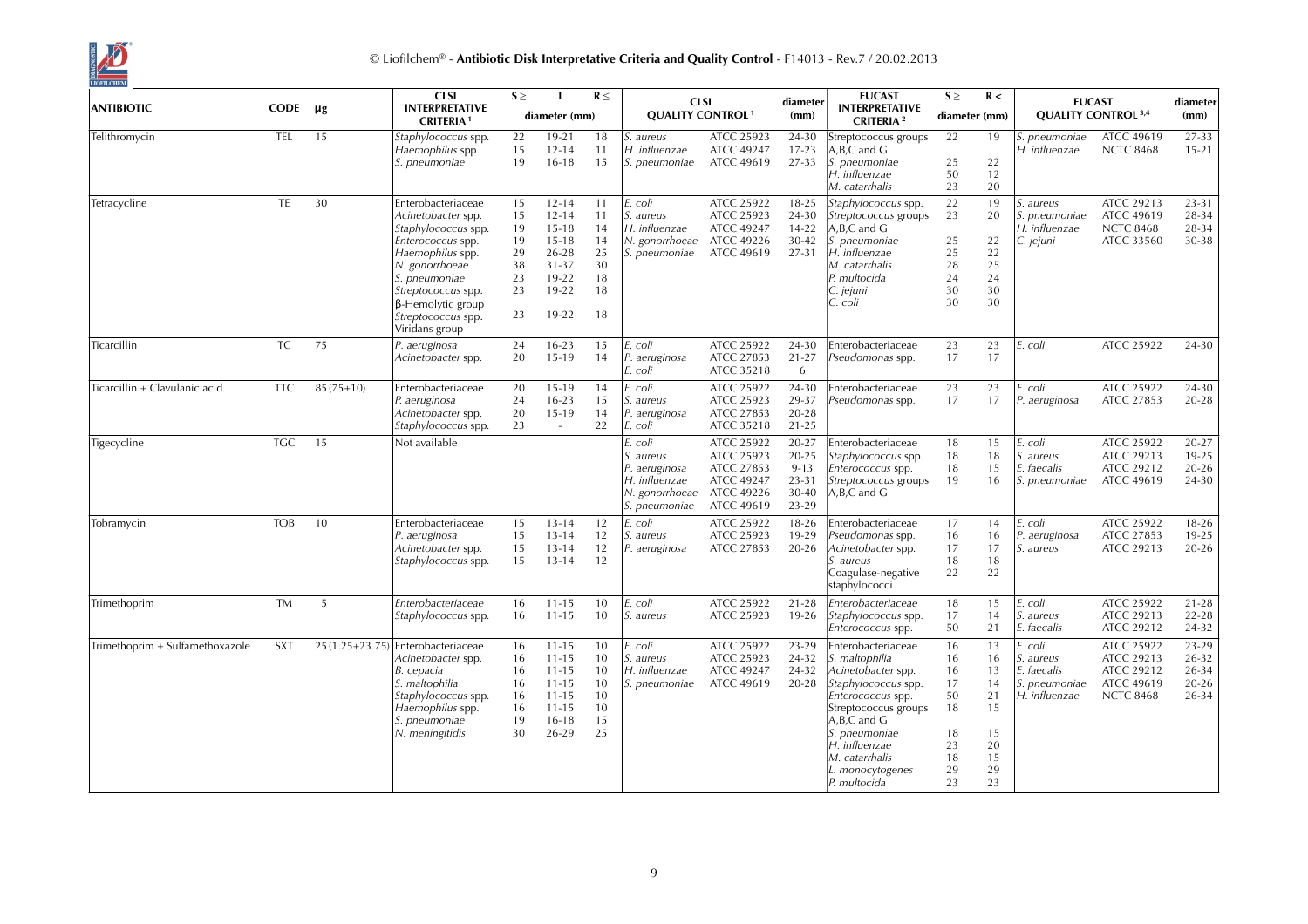

|                                 |            |             | <b>CLSI</b>                                                                                                                                                                                                                           | $S \geq$                                           |                                                                                                   | $R \leq$                                           | <b>CLSI</b>                                                                               |                                                                                                | diameter                                                  | <b>EUCAST</b>                                                                                                                                                                                                                               | $S \geq$                                                       | R <                                                            |                                                                       | <b>EUCAST</b>                                                            | diameter                                      |
|---------------------------------|------------|-------------|---------------------------------------------------------------------------------------------------------------------------------------------------------------------------------------------------------------------------------------|----------------------------------------------------|---------------------------------------------------------------------------------------------------|----------------------------------------------------|-------------------------------------------------------------------------------------------|------------------------------------------------------------------------------------------------|-----------------------------------------------------------|---------------------------------------------------------------------------------------------------------------------------------------------------------------------------------------------------------------------------------------------|----------------------------------------------------------------|----------------------------------------------------------------|-----------------------------------------------------------------------|--------------------------------------------------------------------------|-----------------------------------------------|
| <b>ANTIBIOTIC</b>               | CODE       | $\mu$ g     | <b>INTERPRETATIVE</b><br><b>CRITERIA1</b>                                                                                                                                                                                             |                                                    | diameter (mm)                                                                                     |                                                    | <b>QUALITY CONTROL<sup>1</sup></b>                                                        |                                                                                                | (mm)                                                      | <b>INTERPRETATIVE</b><br><b>CRITERIA</b> <sup>2</sup>                                                                                                                                                                                       | diameter (mm)                                                  |                                                                |                                                                       | <b>QUALITY CONTROL 3,4</b>                                               | (mm)                                          |
| Telithromycin                   | <b>TEL</b> | 15          | Staphylococcus spp.<br>Haemophilus spp.<br>S. pneumoniae                                                                                                                                                                              | 22<br>15<br>19                                     | $19 - 21$<br>$12 - 14$<br>$16 - 18$                                                               | 18<br>11<br>15                                     | S. aureus<br>H. influenzae<br>S. pneumoniae                                               | ATCC 25923<br><b>ATCC 49247</b><br><b>ATCC 49619</b>                                           | 24-30<br>$17 - 23$<br>27-33                               | Streptococcus groups<br>A.B.C and G<br>S. pneumoniae<br>H. influenzae<br>M. catarrhalis                                                                                                                                                     | 22<br>25<br>50<br>23                                           | 19<br>22<br>12<br>20                                           | S. pneumoniae<br>H. influenzae                                        | <b>ATCC 49619</b><br><b>NCTC 8468</b>                                    | 27-33<br>$15 - 21$                            |
| Tetracycline                    | TE         | 30          | Enterobacteriaceae<br>Acinetobacter spp.<br>Staphylococcus spp.<br>Enterococcus spp.<br>Haemophilus spp.<br>N. gonorrhoeae<br>S. pneumoniae<br>Streptococcus spp.<br>$\beta$ -Hemolytic group<br>Streptococcus spp.<br>Viridans group | 15<br>15<br>19<br>19<br>29<br>38<br>23<br>23<br>23 | $12 - 14$<br>$12 - 14$<br>$15 - 18$<br>$15 - 18$<br>26-28<br>$31 - 37$<br>19-22<br>19-22<br>19-22 | 11<br>11<br>14<br>14<br>25<br>30<br>18<br>18<br>18 | E. coli<br>S. aureus<br>H. influenzae<br>N. gonorrhoeae<br>S. pneumoniae                  | ATCC 25922<br>ATCC 25923<br><b>ATCC 49247</b><br>ATCC 49226<br><b>ATCC 49619</b>               | 18-25<br>24-30<br>$14 - 22$<br>30-42<br>27-31             | Staphylococcus spp.<br>Streptococcus groups<br>A, B, C and G<br>S. pneumoniae<br>H. influenzae<br>M. catarrhalis<br>P. multocida<br>C. jejuni<br>C. coli                                                                                    | 22<br>23<br>25<br>25<br>28<br>24<br>30<br>30                   | 19<br>20<br>22<br>22<br>25<br>24<br>30<br>30                   | S. aureus<br>S. pneumoniae<br>H. influenzae<br>C. jejuni              | ATCC 29213<br><b>ATCC 49619</b><br><b>NCTC 8468</b><br>ATCC 33560        | 23-31<br>28-34<br>28-34<br>30-38              |
| Ticarcillin                     | <b>TC</b>  | 75          | P. aeruginosa<br>Acinetobacter spp.                                                                                                                                                                                                   | 24<br>20                                           | $16 - 23$<br>$15-19$                                                                              | 15<br>14                                           | E. coli<br>P. aeruginosa<br>E. coli                                                       | ATCC 25922<br>ATCC 27853<br>ATCC 35218                                                         | 24-30<br>$21 - 27$<br>6                                   | Enterobacteriaceae<br>Pseudomonas spp.                                                                                                                                                                                                      | 23<br>17                                                       | 23<br>17                                                       | E. coli                                                               | ATCC 25922                                                               | 24-30                                         |
| Ticarcillin + Clavulanic acid   | <b>TTC</b> | $85(75+10)$ | Enterobacteriaceae<br>P. aeruginosa<br>Acinetobacter spp.<br>Staphylococcus spp.                                                                                                                                                      | 20<br>24<br>20<br>23                               | 15-19<br>$16-23$<br>15-19<br>$\sim$                                                               | 14<br>15<br>14<br>22                               | E. coli<br>S. aureus<br>P. aeruginosa<br>E. coli                                          | ATCC 25922<br>ATCC 25923<br>ATCC 27853<br>ATCC 35218                                           | 24-30<br>29-37<br>$20 - 28$<br>$21 - 25$                  | Enterobacteriaceae<br>Pseudomonas spp.                                                                                                                                                                                                      | 23<br>17                                                       | 23<br>17                                                       | E. coli<br>P. aeruginosa                                              | ATCC 25922<br>ATCC 27853                                                 | 24-30<br>20-28                                |
| Tigecycline                     | <b>TGC</b> | 15          | Not available                                                                                                                                                                                                                         |                                                    |                                                                                                   |                                                    | E. coli<br>S. aureus<br>P. aeruginosa<br>H. influenzae<br>N. gonorrhoeae<br>S. pneumoniae | ATCC 25922<br>ATCC 25923<br>ATCC 27853<br><b>ATCC 49247</b><br>ATCC 49226<br><b>ATCC 49619</b> | 20-27<br>20-25<br>$9 - 13$<br>$23 - 31$<br>30-40<br>23-29 | Enterobacteriaceae<br>Staphylococcus spp.<br>Enterococcus spp.<br>Streptococcus groups<br>A,B,C and G                                                                                                                                       | 18<br>18<br>18<br>19                                           | 15<br>18<br>15<br>16                                           | E. coli<br><i>S. aureus</i><br>E. faecalis<br>S. pneumoniae           | ATCC 25922<br>ATCC 29213<br>ATCC 29212<br><b>ATCC 49619</b>              | 20-27<br>19-25<br>$20 - 26$<br>24-30          |
| Tobramycin                      | <b>TOB</b> | 10          | Enterobacteriaceae<br>P. aeruginosa<br>Acinetobacter spp.<br>Staphylococcus spp.                                                                                                                                                      | 15<br>15<br>15<br>15                               | $13 - 14$<br>$13 - 14$<br>$13 - 14$<br>$13 - 14$                                                  | 12<br>12<br>12<br>12                               | E. coli<br>S. aureus<br>P. aeruginosa                                                     | ATCC 25922<br>ATCC 25923<br>ATCC 27853                                                         | 18-26<br>19-29<br>$20 - 26$                               | Enterobacteriaceae<br>Pseudomonas spp.<br>Acinetobacter spp.<br>S. aureus<br>Coagulase-negative<br>staphylococci                                                                                                                            | 17<br>16<br>17<br>18<br>22                                     | 14<br>16<br>17<br>18<br>22                                     | E. coli<br>P. aeruginosa<br><i>S. aureus</i>                          | ATCC 25922<br>ATCC 27853<br>ATCC 29213                                   | $18 - 26$<br>19-25<br>$20 - 26$               |
| Trimethoprim                    | <b>TM</b>  | 5           | Enterobacteriaceae<br>Staphylococcus spp.                                                                                                                                                                                             | 16<br>16                                           | $11 - 15$<br>$11 - 15$                                                                            | 10<br>10                                           | E. coli<br>S. aureus                                                                      | ATCC 25922<br>ATCC 25923                                                                       | $21 - 28$<br>$19-26$                                      | Enterobacteriaceae<br>Staphylococcus spp.<br>Enterococcus spp.                                                                                                                                                                              | 18<br>17<br>50                                                 | 15<br>14<br>21                                                 | E. coli<br><i>S. aureus</i><br>E. faecalis                            | <b>ATCC 25922</b><br>ATCC 29213<br>ATCC 29212                            | $21 - 28$<br>$22 - 28$<br>24-32               |
| Trimethoprim + Sulfamethoxazole | <b>SXT</b> |             | 25 (1.25+23.75) Enterobacteriaceae<br>Acinetobacter spp.<br>B. cepacia<br>S. maltophilia<br>Staphylococcus spp.<br>Haemophilus spp.<br>S. pneumoniae<br>N. meningitidis                                                               | 16<br>16<br>16<br>16<br>16<br>16<br>19<br>30       | $11 - 15$<br>$11 - 15$<br>$11 - 15$<br>$11 - 15$<br>$11 - 15$<br>$11 - 15$<br>$16 - 18$<br>26-29  | 10<br>10<br>10<br>10<br>10<br>10<br>15<br>25       | E. coli<br>S. aureus<br>H. influenzae<br>S. pneumoniae                                    | ATCC 25922<br>ATCC 25923<br><b>ATCC 49247</b><br><b>ATCC 49619</b>                             | 23-29<br>24-32<br>24-32<br>20-28                          | Enterobacteriaceae<br>S. maltophilia<br>Acinetobacter spp.<br>Staphylococcus spp.<br>Enterococcus spp.<br>Streptococcus groups<br>$A, B, C$ and $G$<br>S. pneumoniae<br>H. influenzae<br>M. catarrhalis<br>L. monocytogenes<br>P. multocida | 16<br>16<br>16<br>17<br>50<br>18<br>18<br>23<br>18<br>29<br>23 | 13<br>16<br>13<br>14<br>21<br>15<br>15<br>20<br>15<br>29<br>23 | E. coli<br>S. aureus<br>E. faecalis<br>S. pneumoniae<br>H. influenzae | ATCC 25922<br>ATCC 29213<br>ATCC 29212<br>ATCC 49619<br><b>NCTC 8468</b> | 23-29<br>26-32<br>26-34<br>$20 - 26$<br>26-34 |